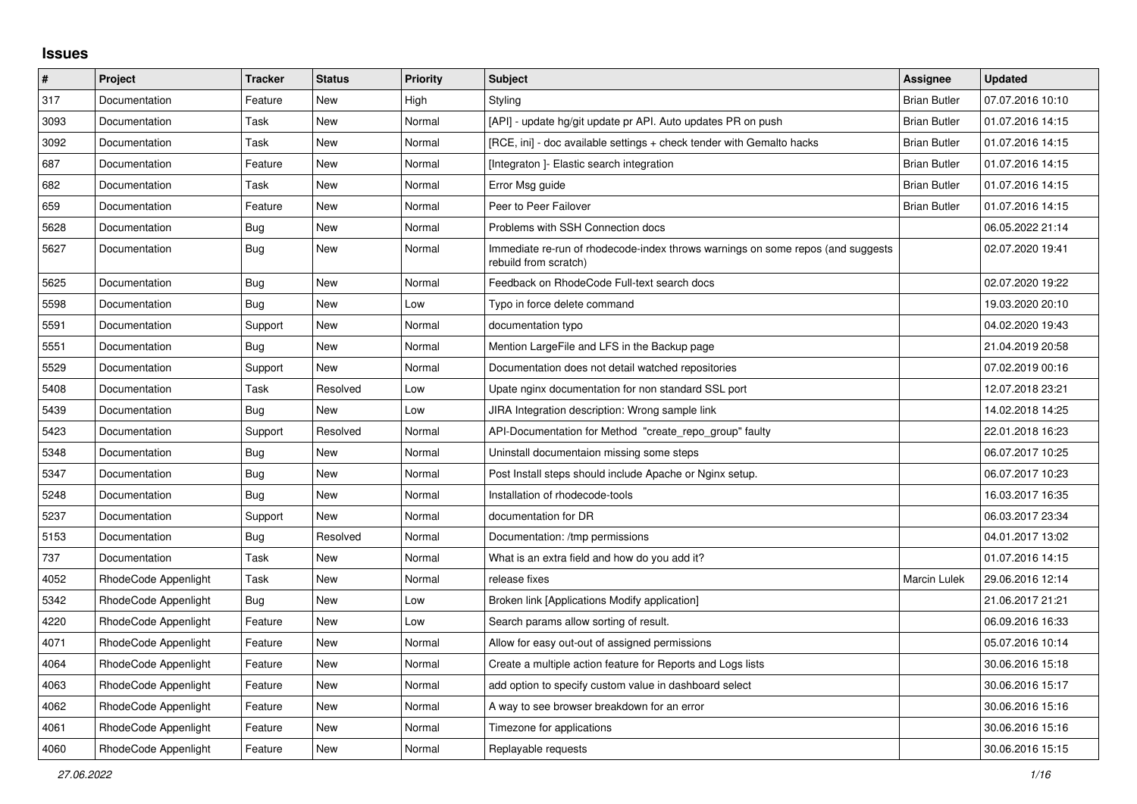## **Issues**

| $\vert$ # | Project              | Tracker    | <b>Status</b> | <b>Priority</b> | <b>Subject</b>                                                                                           | <b>Assignee</b>     | <b>Updated</b>   |
|-----------|----------------------|------------|---------------|-----------------|----------------------------------------------------------------------------------------------------------|---------------------|------------------|
| 317       | Documentation        | Feature    | New           | High            | Styling                                                                                                  | <b>Brian Butler</b> | 07.07.2016 10:10 |
| 3093      | Documentation        | Task       | <b>New</b>    | Normal          | [API] - update hg/git update pr API. Auto updates PR on push                                             | <b>Brian Butler</b> | 01.07.2016 14:15 |
| 3092      | Documentation        | Task       | New           | Normal          | [RCE, ini] - doc available settings + check tender with Gemalto hacks                                    | <b>Brian Butler</b> | 01.07.2016 14:15 |
| 687       | Documentation        | Feature    | New           | Normal          | [Integraton] - Elastic search integration                                                                | <b>Brian Butler</b> | 01.07.2016 14:15 |
| 682       | Documentation        | Task       | New           | Normal          | Error Msg guide                                                                                          | <b>Brian Butler</b> | 01.07.2016 14:15 |
| 659       | Documentation        | Feature    | New           | Normal          | Peer to Peer Failover                                                                                    | <b>Brian Butler</b> | 01.07.2016 14:15 |
| 5628      | Documentation        | Bug        | New           | Normal          | Problems with SSH Connection docs                                                                        |                     | 06.05.2022 21:14 |
| 5627      | Documentation        | Bug        | New           | Normal          | Immediate re-run of rhodecode-index throws warnings on some repos (and suggests<br>rebuild from scratch) |                     | 02.07.2020 19:41 |
| 5625      | Documentation        | <b>Bug</b> | <b>New</b>    | Normal          | Feedback on RhodeCode Full-text search docs                                                              |                     | 02.07.2020 19:22 |
| 5598      | Documentation        | <b>Bug</b> | New           | Low             | Typo in force delete command                                                                             |                     | 19.03.2020 20:10 |
| 5591      | Documentation        | Support    | New           | Normal          | documentation typo                                                                                       |                     | 04.02.2020 19:43 |
| 5551      | Documentation        | Bug        | New           | Normal          | Mention LargeFile and LFS in the Backup page                                                             |                     | 21.04.2019 20:58 |
| 5529      | Documentation        | Support    | <b>New</b>    | Normal          | Documentation does not detail watched repositories                                                       |                     | 07.02.2019 00:16 |
| 5408      | Documentation        | Task       | Resolved      | Low             | Upate nginx documentation for non standard SSL port                                                      |                     | 12.07.2018 23:21 |
| 5439      | Documentation        | Bug        | New           | Low             | JIRA Integration description: Wrong sample link                                                          |                     | 14.02.2018 14:25 |
| 5423      | Documentation        | Support    | Resolved      | Normal          | API-Documentation for Method "create repo group" faulty                                                  |                     | 22.01.2018 16:23 |
| 5348      | Documentation        | Bug        | New           | Normal          | Uninstall documentaion missing some steps                                                                |                     | 06.07.2017 10:25 |
| 5347      | Documentation        | Bug        | New           | Normal          | Post Install steps should include Apache or Nginx setup.                                                 |                     | 06.07.2017 10:23 |
| 5248      | Documentation        | <b>Bug</b> | <b>New</b>    | Normal          | Installation of rhodecode-tools                                                                          |                     | 16.03.2017 16:35 |
| 5237      | Documentation        | Support    | <b>New</b>    | Normal          | documentation for DR                                                                                     |                     | 06.03.2017 23:34 |
| 5153      | Documentation        | Bug        | Resolved      | Normal          | Documentation: /tmp permissions                                                                          |                     | 04.01.2017 13:02 |
| 737       | Documentation        | Task       | New           | Normal          | What is an extra field and how do you add it?                                                            |                     | 01.07.2016 14:15 |
| 4052      | RhodeCode Appenlight | Task       | <b>New</b>    | Normal          | release fixes                                                                                            | <b>Marcin Lulek</b> | 29.06.2016 12:14 |
| 5342      | RhodeCode Appenlight | <b>Bug</b> | <b>New</b>    | Low             | Broken link [Applications Modify application]                                                            |                     | 21.06.2017 21:21 |
| 4220      | RhodeCode Appenlight | Feature    | New           | Low             | Search params allow sorting of result.                                                                   |                     | 06.09.2016 16:33 |
| 4071      | RhodeCode Appenlight | Feature    | New           | Normal          | Allow for easy out-out of assigned permissions                                                           |                     | 05.07.2016 10:14 |
| 4064      | RhodeCode Appenlight | Feature    | New           | Normal          | Create a multiple action feature for Reports and Logs lists                                              |                     | 30.06.2016 15:18 |
| 4063      | RhodeCode Appenlight | Feature    | <b>New</b>    | Normal          | add option to specify custom value in dashboard select                                                   |                     | 30.06.2016 15:17 |
| 4062      | RhodeCode Appenlight | Feature    | <b>New</b>    | Normal          | A way to see browser breakdown for an error                                                              |                     | 30.06.2016 15:16 |
| 4061      | RhodeCode Appenlight | Feature    | New           | Normal          | Timezone for applications                                                                                |                     | 30.06.2016 15:16 |
| 4060      | RhodeCode Appenlight | Feature    | New           | Normal          | Replayable requests                                                                                      |                     | 30.06.2016 15:15 |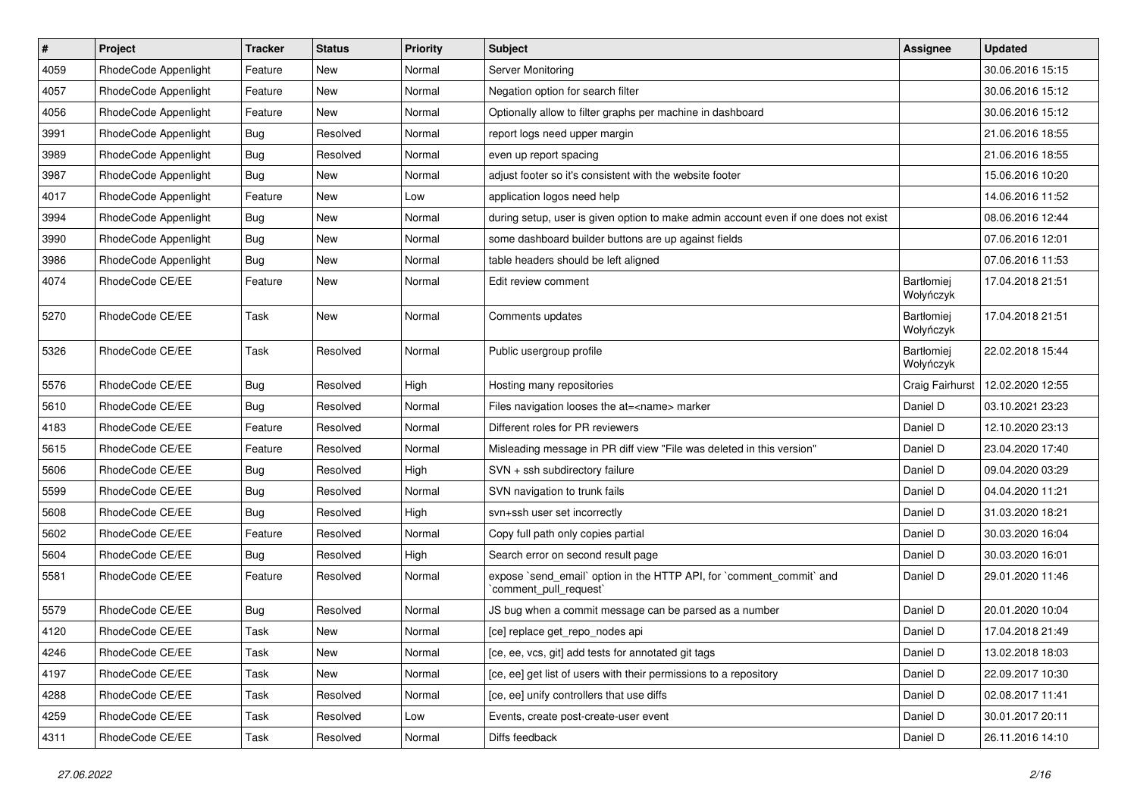| $\pmb{\#}$ | Project              | <b>Tracker</b> | <b>Status</b> | <b>Priority</b> | Subject                                                                                        | <b>Assignee</b>                | <b>Updated</b>   |
|------------|----------------------|----------------|---------------|-----------------|------------------------------------------------------------------------------------------------|--------------------------------|------------------|
| 4059       | RhodeCode Appenlight | Feature        | New           | Normal          | Server Monitoring                                                                              |                                | 30.06.2016 15:15 |
| 4057       | RhodeCode Appenlight | Feature        | <b>New</b>    | Normal          | Negation option for search filter                                                              |                                | 30.06.2016 15:12 |
| 4056       | RhodeCode Appenlight | Feature        | New           | Normal          | Optionally allow to filter graphs per machine in dashboard                                     |                                | 30.06.2016 15:12 |
| 3991       | RhodeCode Appenlight | Bug            | Resolved      | Normal          | report logs need upper margin                                                                  |                                | 21.06.2016 18:55 |
| 3989       | RhodeCode Appenlight | <b>Bug</b>     | Resolved      | Normal          | even up report spacing                                                                         |                                | 21.06.2016 18:55 |
| 3987       | RhodeCode Appenlight | <b>Bug</b>     | New           | Normal          | adjust footer so it's consistent with the website footer                                       |                                | 15.06.2016 10:20 |
| 4017       | RhodeCode Appenlight | Feature        | <b>New</b>    | Low             | application logos need help                                                                    |                                | 14.06.2016 11:52 |
| 3994       | RhodeCode Appenlight | Bug            | New           | Normal          | during setup, user is given option to make admin account even if one does not exist            |                                | 08.06.2016 12:44 |
| 3990       | RhodeCode Appenlight | Bug            | New           | Normal          | some dashboard builder buttons are up against fields                                           |                                | 07.06.2016 12:01 |
| 3986       | RhodeCode Appenlight | Bug            | <b>New</b>    | Normal          | table headers should be left aligned                                                           |                                | 07.06.2016 11:53 |
| 4074       | RhodeCode CE/EE      | Feature        | New           | Normal          | Edit review comment                                                                            | <b>Bartłomiei</b><br>Wołyńczyk | 17.04.2018 21:51 |
| 5270       | RhodeCode CE/EE      | Task           | New           | Normal          | Comments updates                                                                               | Bartłomiej<br>Wołyńczyk        | 17.04.2018 21:51 |
| 5326       | RhodeCode CE/EE      | Task           | Resolved      | Normal          | Public usergroup profile                                                                       | Bartłomiej<br>Wołyńczyk        | 22.02.2018 15:44 |
| 5576       | RhodeCode CE/EE      | Bug            | Resolved      | High            | Hosting many repositories                                                                      | Craig Fairhurst                | 12.02.2020 12:55 |
| 5610       | RhodeCode CE/EE      | Bug            | Resolved      | Normal          | Files navigation looses the at= <name> marker</name>                                           | Daniel D                       | 03.10.2021 23:23 |
| 4183       | RhodeCode CE/EE      | Feature        | Resolved      | Normal          | Different roles for PR reviewers                                                               | Daniel D                       | 12.10.2020 23:13 |
| 5615       | RhodeCode CE/EE      | Feature        | Resolved      | Normal          | Misleading message in PR diff view "File was deleted in this version"                          | Daniel D                       | 23.04.2020 17:40 |
| 5606       | RhodeCode CE/EE      | Bug            | Resolved      | High            | SVN + ssh subdirectory failure                                                                 | Daniel D                       | 09.04.2020 03:29 |
| 5599       | RhodeCode CE/EE      | Bug            | Resolved      | Normal          | SVN navigation to trunk fails                                                                  | Daniel D                       | 04.04.2020 11:21 |
| 5608       | RhodeCode CE/EE      | Bug            | Resolved      | High            | svn+ssh user set incorrectly                                                                   | Daniel D                       | 31.03.2020 18:21 |
| 5602       | RhodeCode CE/EE      | Feature        | Resolved      | Normal          | Copy full path only copies partial                                                             | Daniel D                       | 30.03.2020 16:04 |
| 5604       | RhodeCode CE/EE      | Bug            | Resolved      | High            | Search error on second result page                                                             | Daniel D                       | 30.03.2020 16:01 |
| 5581       | RhodeCode CE/EE      | Feature        | Resolved      | Normal          | expose `send_email` option in the HTTP API, for `comment_commit` and<br>`comment pull request` | Daniel D                       | 29.01.2020 11:46 |
| 5579       | RhodeCode CE/EE      | Bug            | Resolved      | Normal          | JS bug when a commit message can be parsed as a number                                         | Daniel D                       | 20.01.2020 10:04 |
| 4120       | RhodeCode CE/EE      | Task           | New           | Normal          | [ce] replace get_repo_nodes api                                                                | Daniel D                       | 17.04.2018 21:49 |
| 4246       | RhodeCode CE/EE      | Task           | New           | Normal          | [ce, ee, vcs, git] add tests for annotated git tags                                            | Daniel D                       | 13.02.2018 18:03 |
| 4197       | RhodeCode CE/EE      | Task           | New           | Normal          | [ce, ee] get list of users with their permissions to a repository                              | Daniel D                       | 22.09.2017 10:30 |
| 4288       | RhodeCode CE/EE      | Task           | Resolved      | Normal          | [ce, ee] unify controllers that use diffs                                                      | Daniel D                       | 02.08.2017 11:41 |
| 4259       | RhodeCode CE/EE      | Task           | Resolved      | Low             | Events, create post-create-user event                                                          | Daniel D                       | 30.01.2017 20:11 |
| 4311       | RhodeCode CE/EE      | Task           | Resolved      | Normal          | Diffs feedback                                                                                 | Daniel D                       | 26.11.2016 14:10 |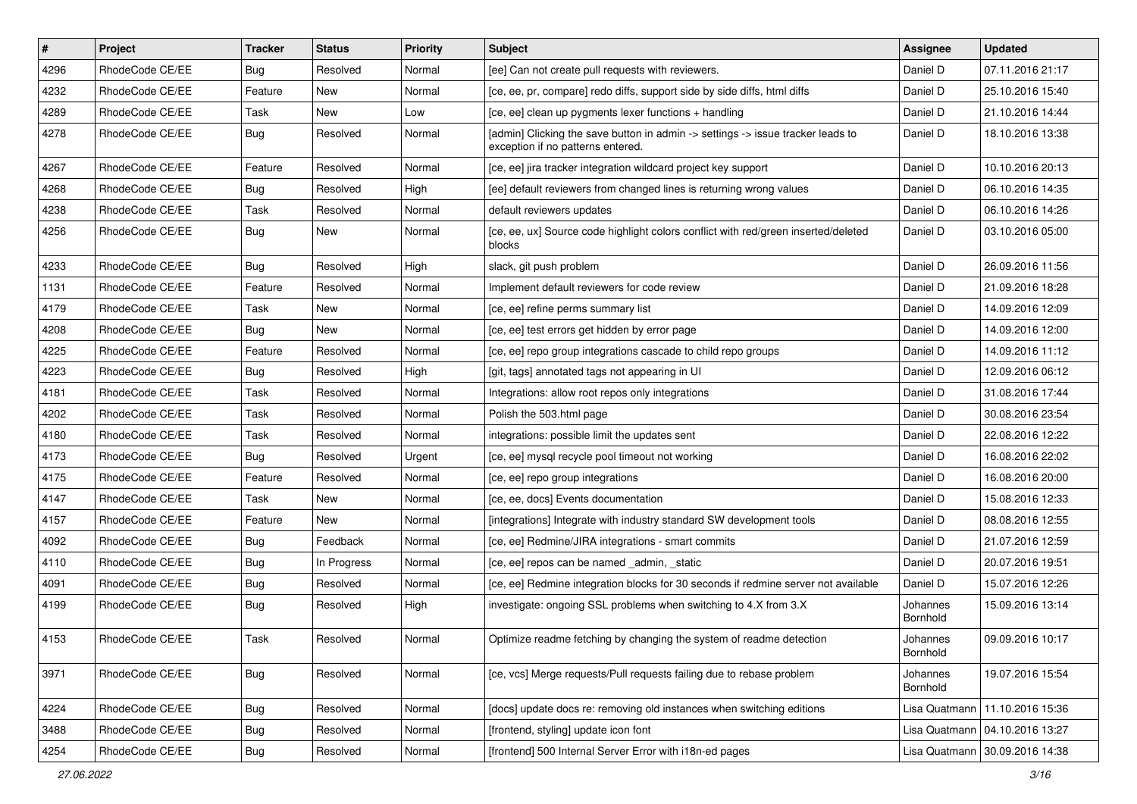| $\vert$ # | Project         | <b>Tracker</b> | <b>Status</b> | <b>Priority</b> | <b>Subject</b>                                                                                                       | <b>Assignee</b>      | <b>Updated</b>                   |
|-----------|-----------------|----------------|---------------|-----------------|----------------------------------------------------------------------------------------------------------------------|----------------------|----------------------------------|
| 4296      | RhodeCode CE/EE | <b>Bug</b>     | Resolved      | Normal          | [ee] Can not create pull requests with reviewers.                                                                    | Daniel D             | 07.11.2016 21:17                 |
| 4232      | RhodeCode CE/EE | Feature        | New           | Normal          | [ce, ee, pr, compare] redo diffs, support side by side diffs, html diffs                                             | Daniel D             | 25.10.2016 15:40                 |
| 4289      | RhodeCode CE/EE | Task           | New           | Low             | [ce, ee] clean up pygments lexer functions + handling                                                                | Daniel D             | 21.10.2016 14:44                 |
| 4278      | RhodeCode CE/EE | Bug            | Resolved      | Normal          | [admin] Clicking the save button in admin -> settings -> issue tracker leads to<br>exception if no patterns entered. | Daniel D             | 18.10.2016 13:38                 |
| 4267      | RhodeCode CE/EE | Feature        | Resolved      | Normal          | [ce, ee] jira tracker integration wildcard project key support                                                       | Daniel D             | 10.10.2016 20:13                 |
| 4268      | RhodeCode CE/EE | Bug            | Resolved      | High            | [ee] default reviewers from changed lines is returning wrong values                                                  | Daniel D             | 06.10.2016 14:35                 |
| 4238      | RhodeCode CE/EE | Task           | Resolved      | Normal          | default reviewers updates                                                                                            | Daniel D             | 06.10.2016 14:26                 |
| 4256      | RhodeCode CE/EE | Bug            | New           | Normal          | [ce, ee, ux] Source code highlight colors conflict with red/green inserted/deleted<br>blocks                         | Daniel D             | 03.10.2016 05:00                 |
| 4233      | RhodeCode CE/EE | Bug            | Resolved      | High            | slack, git push problem                                                                                              | Daniel D             | 26.09.2016 11:56                 |
| 1131      | RhodeCode CE/EE | Feature        | Resolved      | Normal          | Implement default reviewers for code review                                                                          | Daniel D             | 21.09.2016 18:28                 |
| 4179      | RhodeCode CE/EE | Task           | <b>New</b>    | Normal          | [ce, ee] refine perms summary list                                                                                   | Daniel D             | 14.09.2016 12:09                 |
| 4208      | RhodeCode CE/EE | Bug            | New           | Normal          | [ce, ee] test errors get hidden by error page                                                                        | Daniel D             | 14.09.2016 12:00                 |
| 4225      | RhodeCode CE/EE | Feature        | Resolved      | Normal          | [ce, ee] repo group integrations cascade to child repo groups                                                        | Daniel D             | 14.09.2016 11:12                 |
| 4223      | RhodeCode CE/EE | <b>Bug</b>     | Resolved      | High            | [git, tags] annotated tags not appearing in UI                                                                       | Daniel D             | 12.09.2016 06:12                 |
| 4181      | RhodeCode CE/EE | Task           | Resolved      | Normal          | Integrations: allow root repos only integrations                                                                     | Daniel D             | 31.08.2016 17:44                 |
| 4202      | RhodeCode CE/EE | Task           | Resolved      | Normal          | Polish the 503.html page                                                                                             | Daniel D             | 30.08.2016 23:54                 |
| 4180      | RhodeCode CE/EE | Task           | Resolved      | Normal          | integrations: possible limit the updates sent                                                                        | Daniel D             | 22.08.2016 12:22                 |
| 4173      | RhodeCode CE/EE | Bug            | Resolved      | Urgent          | [ce, ee] mysql recycle pool timeout not working                                                                      | Daniel D             | 16.08.2016 22:02                 |
| 4175      | RhodeCode CE/EE | Feature        | Resolved      | Normal          | [ce, ee] repo group integrations                                                                                     | Daniel D             | 16.08.2016 20:00                 |
| 4147      | RhodeCode CE/EE | Task           | New           | Normal          | [ce, ee, docs] Events documentation                                                                                  | Daniel D             | 15.08.2016 12:33                 |
| 4157      | RhodeCode CE/EE | Feature        | New           | Normal          | [integrations] Integrate with industry standard SW development tools                                                 | Daniel D             | 08.08.2016 12:55                 |
| 4092      | RhodeCode CE/EE | Bug            | Feedback      | Normal          | [ce, ee] Redmine/JIRA integrations - smart commits                                                                   | Daniel D             | 21.07.2016 12:59                 |
| 4110      | RhodeCode CE/EE | <b>Bug</b>     | In Progress   | Normal          | [ce, ee] repos can be named _admin, _static                                                                          | Daniel D             | 20.07.2016 19:51                 |
| 4091      | RhodeCode CE/EE | <b>Bug</b>     | Resolved      | Normal          | [ce, ee] Redmine integration blocks for 30 seconds if redmine server not available                                   | Daniel D             | 15.07.2016 12:26                 |
| 4199      | RhodeCode CE/EE | <b>Bug</b>     | Resolved      | High            | investigate: ongoing SSL problems when switching to 4.X from 3.X                                                     | Johannes<br>Bornhold | 15.09.2016 13:14                 |
| 4153      | RhodeCode CE/EE | Task           | Resolved      | Normal          | Optimize readme fetching by changing the system of readme detection                                                  | Johannes<br>Bornhold | 09.09.2016 10:17                 |
| 3971      | RhodeCode CE/EE | <b>Bug</b>     | Resolved      | Normal          | [ce, vcs] Merge requests/Pull requests failing due to rebase problem                                                 | Johannes<br>Bornhold | 19.07.2016 15:54                 |
| 4224      | RhodeCode CE/EE | Bug            | Resolved      | Normal          | [docs] update docs re: removing old instances when switching editions                                                | Lisa Quatmann        | 11.10.2016 15:36                 |
| 3488      | RhodeCode CE/EE | <b>Bug</b>     | Resolved      | Normal          | [frontend, styling] update icon font                                                                                 |                      | Lisa Quatmann   04.10.2016 13:27 |
| 4254      | RhodeCode CE/EE | Bug            | Resolved      | Normal          | [frontend] 500 Internal Server Error with i18n-ed pages                                                              |                      | Lisa Quatmann   30.09.2016 14:38 |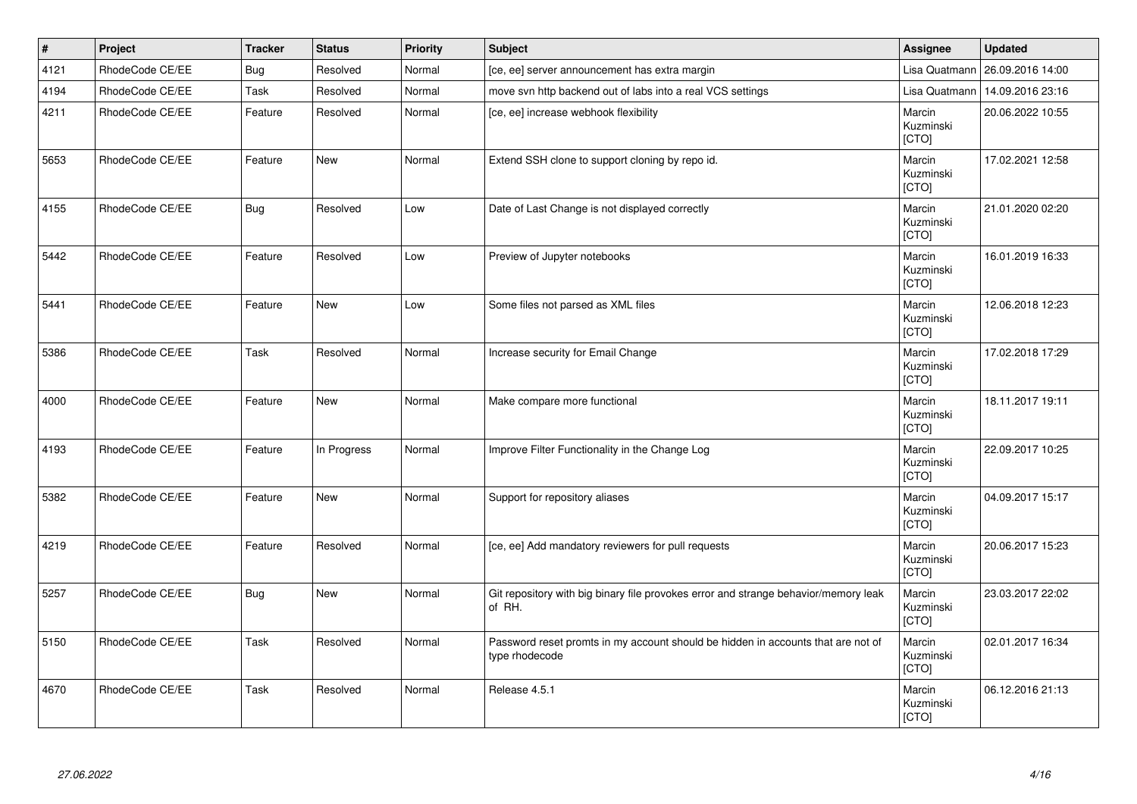| $\vert$ # | Project         | <b>Tracker</b> | <b>Status</b> | <b>Priority</b> | <b>Subject</b>                                                                                     | Assignee                            | <b>Updated</b>   |
|-----------|-----------------|----------------|---------------|-----------------|----------------------------------------------------------------------------------------------------|-------------------------------------|------------------|
| 4121      | RhodeCode CE/EE | Bug            | Resolved      | Normal          | [ce, ee] server announcement has extra margin                                                      | Lisa Quatmann                       | 26.09.2016 14:00 |
| 4194      | RhodeCode CE/EE | Task           | Resolved      | Normal          | move svn http backend out of labs into a real VCS settings                                         | Lisa Quatmann                       | 14.09.2016 23:16 |
| 4211      | RhodeCode CE/EE | Feature        | Resolved      | Normal          | [ce, ee] increase webhook flexibility                                                              | Marcin<br>Kuzminski<br>[CTO]        | 20.06.2022 10:55 |
| 5653      | RhodeCode CE/EE | Feature        | <b>New</b>    | Normal          | Extend SSH clone to support cloning by repo id.                                                    | Marcin<br>Kuzminski<br>[CTO]        | 17.02.2021 12:58 |
| 4155      | RhodeCode CE/EE | <b>Bug</b>     | Resolved      | Low             | Date of Last Change is not displayed correctly                                                     | Marcin<br>Kuzminski<br>[CTO]        | 21.01.2020 02:20 |
| 5442      | RhodeCode CE/EE | Feature        | Resolved      | Low             | Preview of Jupyter notebooks                                                                       | Marcin<br>Kuzminski<br><b>[CTO]</b> | 16.01.2019 16:33 |
| 5441      | RhodeCode CE/EE | Feature        | <b>New</b>    | Low             | Some files not parsed as XML files                                                                 | Marcin<br>Kuzminski<br>[CTO]        | 12.06.2018 12:23 |
| 5386      | RhodeCode CE/EE | Task           | Resolved      | Normal          | Increase security for Email Change                                                                 | Marcin<br>Kuzminski<br>[CTO]        | 17.02.2018 17:29 |
| 4000      | RhodeCode CE/EE | Feature        | <b>New</b>    | Normal          | Make compare more functional                                                                       | Marcin<br>Kuzminski<br>[CTO]        | 18.11.2017 19:11 |
| 4193      | RhodeCode CE/EE | Feature        | In Progress   | Normal          | Improve Filter Functionality in the Change Log                                                     | Marcin<br>Kuzminski<br>[CTO]        | 22.09.2017 10:25 |
| 5382      | RhodeCode CE/EE | Feature        | <b>New</b>    | Normal          | Support for repository aliases                                                                     | Marcin<br>Kuzminski<br>[CTO]        | 04.09.2017 15:17 |
| 4219      | RhodeCode CE/EE | Feature        | Resolved      | Normal          | [ce, ee] Add mandatory reviewers for pull requests                                                 | Marcin<br>Kuzminski<br>[CTO]        | 20.06.2017 15:23 |
| 5257      | RhodeCode CE/EE | <b>Bug</b>     | <b>New</b>    | Normal          | Git repository with big binary file provokes error and strange behavior/memory leak<br>of RH.      | Marcin<br>Kuzminski<br>[CTO]        | 23.03.2017 22:02 |
| 5150      | RhodeCode CE/EE | Task           | Resolved      | Normal          | Password reset promts in my account should be hidden in accounts that are not of<br>type rhodecode | Marcin<br>Kuzminski<br>[CTO]        | 02.01.2017 16:34 |
| 4670      | RhodeCode CE/EE | Task           | Resolved      | Normal          | Release 4.5.1                                                                                      | Marcin<br>Kuzminski<br>[CTO]        | 06.12.2016 21:13 |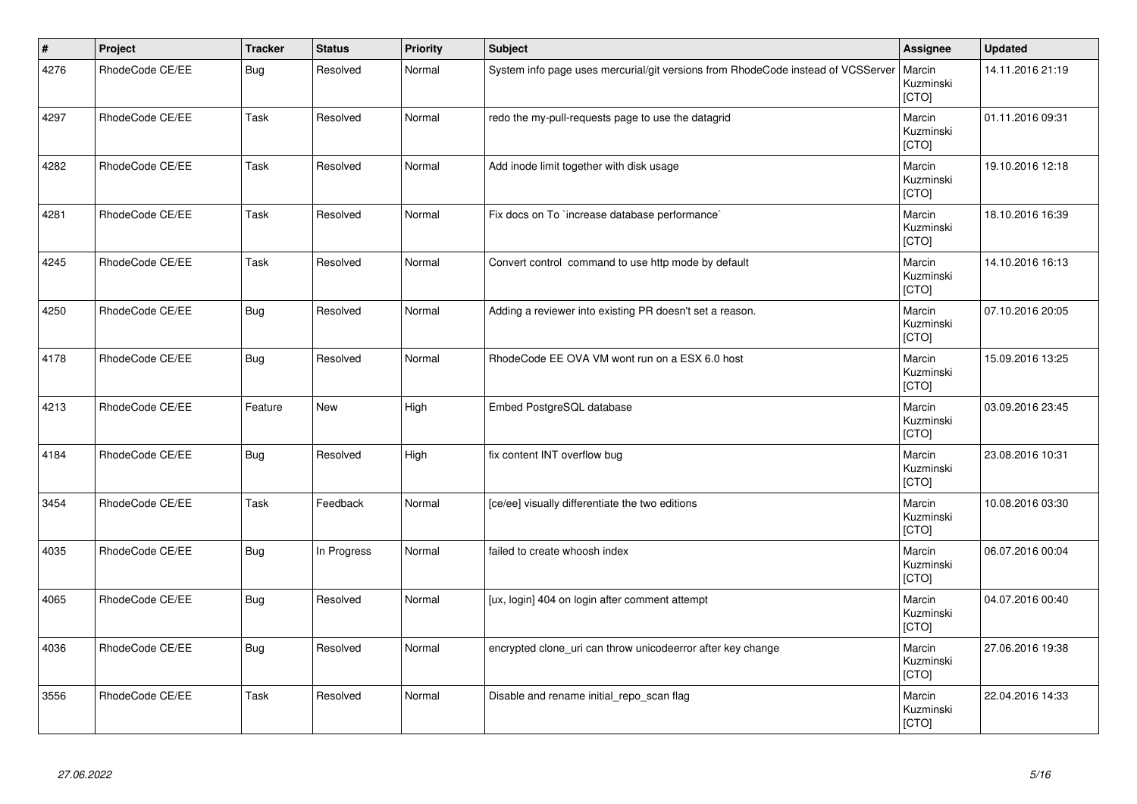| $\vert$ # | Project         | <b>Tracker</b> | <b>Status</b> | <b>Priority</b> | <b>Subject</b>                                                                   | Assignee                     | <b>Updated</b>   |
|-----------|-----------------|----------------|---------------|-----------------|----------------------------------------------------------------------------------|------------------------------|------------------|
| 4276      | RhodeCode CE/EE | <b>Bug</b>     | Resolved      | Normal          | System info page uses mercurial/git versions from RhodeCode instead of VCSServer | Marcin<br>Kuzminski<br>[CTO] | 14.11.2016 21:19 |
| 4297      | RhodeCode CE/EE | Task           | Resolved      | Normal          | redo the my-pull-requests page to use the datagrid                               | Marcin<br>Kuzminski<br>[CTO] | 01.11.2016 09:31 |
| 4282      | RhodeCode CE/EE | Task           | Resolved      | Normal          | Add inode limit together with disk usage                                         | Marcin<br>Kuzminski<br>[CTO] | 19.10.2016 12:18 |
| 4281      | RhodeCode CE/EE | Task           | Resolved      | Normal          | Fix docs on To `increase database performance`                                   | Marcin<br>Kuzminski<br>[CTO] | 18.10.2016 16:39 |
| 4245      | RhodeCode CE/EE | Task           | Resolved      | Normal          | Convert control command to use http mode by default                              | Marcin<br>Kuzminski<br>[CTO] | 14.10.2016 16:13 |
| 4250      | RhodeCode CE/EE | <b>Bug</b>     | Resolved      | Normal          | Adding a reviewer into existing PR doesn't set a reason.                         | Marcin<br>Kuzminski<br>[CTO] | 07.10.2016 20:05 |
| 4178      | RhodeCode CE/EE | <b>Bug</b>     | Resolved      | Normal          | RhodeCode EE OVA VM wont run on a ESX 6.0 host                                   | Marcin<br>Kuzminski<br>[CTO] | 15.09.2016 13:25 |
| 4213      | RhodeCode CE/EE | Feature        | <b>New</b>    | High            | Embed PostgreSQL database                                                        | Marcin<br>Kuzminski<br>[CTO] | 03.09.2016 23:45 |
| 4184      | RhodeCode CE/EE | <b>Bug</b>     | Resolved      | High            | fix content INT overflow bug                                                     | Marcin<br>Kuzminski<br>[CTO] | 23.08.2016 10:31 |
| 3454      | RhodeCode CE/EE | Task           | Feedback      | Normal          | [ce/ee] visually differentiate the two editions                                  | Marcin<br>Kuzminski<br>[CTO] | 10.08.2016 03:30 |
| 4035      | RhodeCode CE/EE | <b>Bug</b>     | In Progress   | Normal          | failed to create whoosh index                                                    | Marcin<br>Kuzminski<br>[CTO] | 06.07.2016 00:04 |
| 4065      | RhodeCode CE/EE | <b>Bug</b>     | Resolved      | Normal          | [ux, login] 404 on login after comment attempt                                   | Marcin<br>Kuzminski<br>[CTO] | 04.07.2016 00:40 |
| 4036      | RhodeCode CE/EE | <b>Bug</b>     | Resolved      | Normal          | encrypted clone_uri can throw unicodeerror after key change                      | Marcin<br>Kuzminski<br>[CTO] | 27.06.2016 19:38 |
| 3556      | RhodeCode CE/EE | Task           | Resolved      | Normal          | Disable and rename initial_repo_scan flag                                        | Marcin<br>Kuzminski<br>[CTO] | 22.04.2016 14:33 |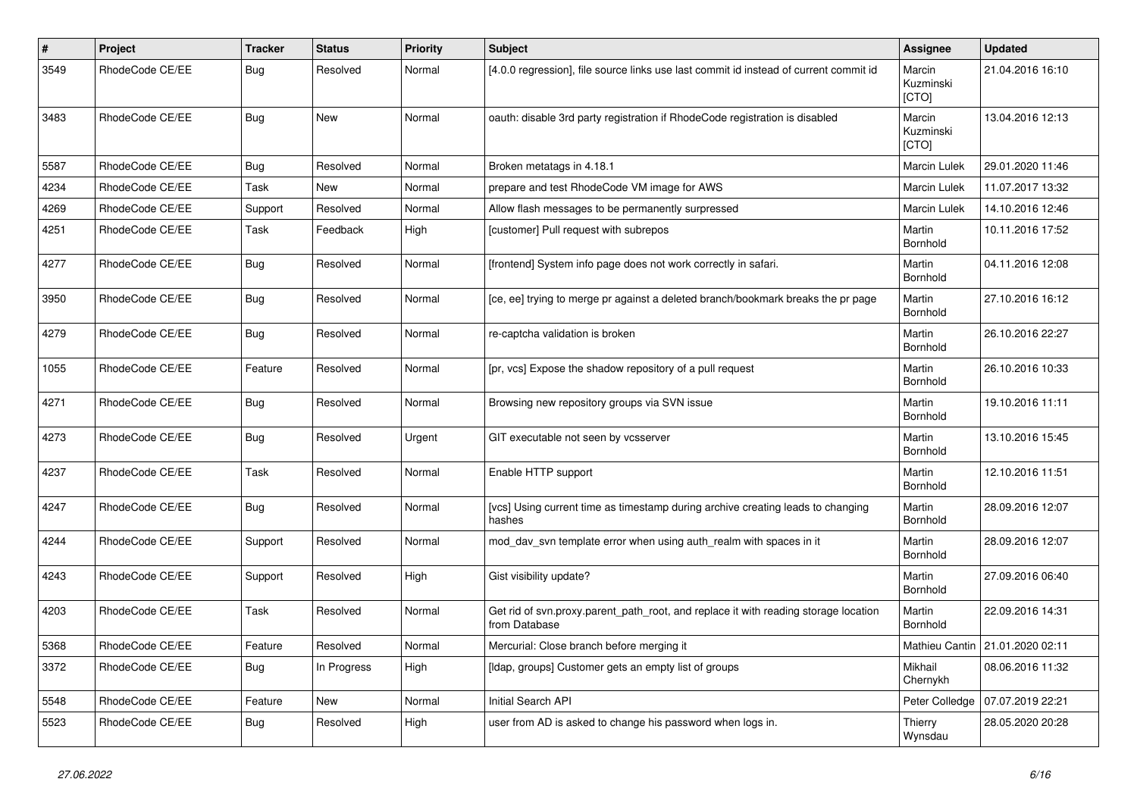| $\pmb{\#}$ | Project         | <b>Tracker</b> | <b>Status</b> | <b>Priority</b> | <b>Subject</b>                                                                                       | Assignee                     | <b>Updated</b>                  |
|------------|-----------------|----------------|---------------|-----------------|------------------------------------------------------------------------------------------------------|------------------------------|---------------------------------|
| 3549       | RhodeCode CE/EE | <b>Bug</b>     | Resolved      | Normal          | [4.0.0 regression], file source links use last commit id instead of current commit id                | Marcin<br>Kuzminski<br>[CTO] | 21.04.2016 16:10                |
| 3483       | RhodeCode CE/EE | Bug            | New           | Normal          | oauth: disable 3rd party registration if RhodeCode registration is disabled                          | Marcin<br>Kuzminski<br>[CTO] | 13.04.2016 12:13                |
| 5587       | RhodeCode CE/EE | Bug            | Resolved      | Normal          | Broken metatags in 4.18.1                                                                            | Marcin Lulek                 | 29.01.2020 11:46                |
| 4234       | RhodeCode CE/EE | Task           | <b>New</b>    | Normal          | prepare and test RhodeCode VM image for AWS                                                          | Marcin Lulek                 | 11.07.2017 13:32                |
| 4269       | RhodeCode CE/EE | Support        | Resolved      | Normal          | Allow flash messages to be permanently surpressed                                                    | Marcin Lulek                 | 14.10.2016 12:46                |
| 4251       | RhodeCode CE/EE | Task           | Feedback      | High            | [customer] Pull request with subrepos                                                                | Martin<br>Bornhold           | 10.11.2016 17:52                |
| 4277       | RhodeCode CE/EE | Bug            | Resolved      | Normal          | [frontend] System info page does not work correctly in safari.                                       | Martin<br>Bornhold           | 04.11.2016 12:08                |
| 3950       | RhodeCode CE/EE | Bug            | Resolved      | Normal          | [ce, ee] trying to merge pr against a deleted branch/bookmark breaks the pr page                     | Martin<br>Bornhold           | 27.10.2016 16:12                |
| 4279       | RhodeCode CE/EE | <b>Bug</b>     | Resolved      | Normal          | re-captcha validation is broken                                                                      | Martin<br>Bornhold           | 26.10.2016 22:27                |
| 1055       | RhodeCode CE/EE | Feature        | Resolved      | Normal          | [pr, vcs] Expose the shadow repository of a pull request                                             | Martin<br>Bornhold           | 26.10.2016 10:33                |
| 4271       | RhodeCode CE/EE | Bug            | Resolved      | Normal          | Browsing new repository groups via SVN issue                                                         | Martin<br>Bornhold           | 19.10.2016 11:11                |
| 4273       | RhodeCode CE/EE | Bug            | Resolved      | Urgent          | GIT executable not seen by vcsserver                                                                 | Martin<br>Bornhold           | 13.10.2016 15:45                |
| 4237       | RhodeCode CE/EE | Task           | Resolved      | Normal          | Enable HTTP support                                                                                  | Martin<br>Bornhold           | 12.10.2016 11:51                |
| 4247       | RhodeCode CE/EE | Bug            | Resolved      | Normal          | [vcs] Using current time as timestamp during archive creating leads to changing<br>hashes            | Martin<br>Bornhold           | 28.09.2016 12:07                |
| 4244       | RhodeCode CE/EE | Support        | Resolved      | Normal          | mod_dav_svn template error when using auth_realm with spaces in it                                   | Martin<br>Bornhold           | 28.09.2016 12:07                |
| 4243       | RhodeCode CE/EE | Support        | Resolved      | High            | Gist visibility update?                                                                              | Martin<br>Bornhold           | 27.09.2016 06:40                |
| 4203       | RhodeCode CE/EE | Task           | Resolved      | Normal          | Get rid of svn.proxy.parent_path_root, and replace it with reading storage location<br>from Database | Martin<br>Bornhold           | 22.09.2016 14:31                |
| 5368       | RhodeCode CE/EE | Feature        | Resolved      | Normal          | Mercurial: Close branch before merging it                                                            |                              | Mathieu Cantin 21.01.2020 02:11 |
| 3372       | RhodeCode CE/EE | Bug            | In Progress   | High            | [Idap, groups] Customer gets an empty list of groups                                                 | Mikhail<br>Chernykh          | 08.06.2016 11:32                |
| 5548       | RhodeCode CE/EE | Feature        | New           | Normal          | Initial Search API                                                                                   | Peter Colledge               | 07.07.2019 22:21                |
| 5523       | RhodeCode CE/EE | <b>Bug</b>     | Resolved      | High            | user from AD is asked to change his password when logs in.                                           | Thierry<br>Wynsdau           | 28.05.2020 20:28                |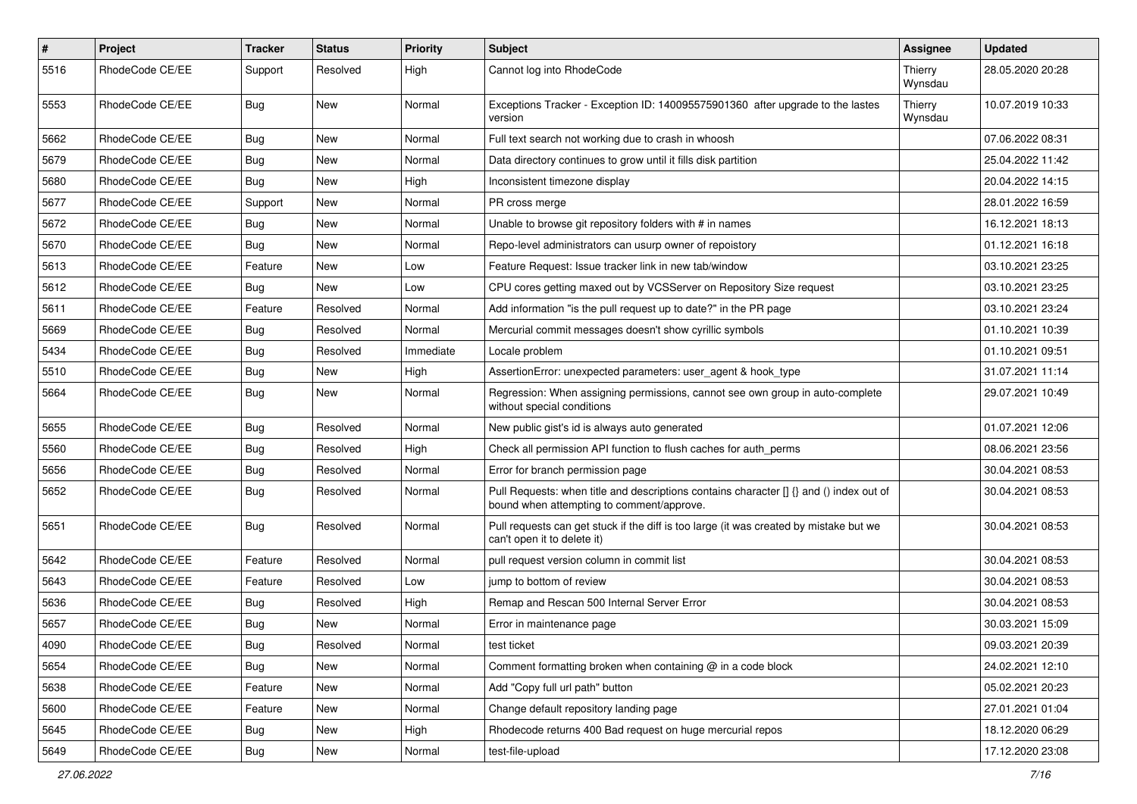| $\pmb{\#}$ | Project         | <b>Tracker</b> | <b>Status</b> | <b>Priority</b> | <b>Subject</b>                                                                                                                       | Assignee           | <b>Updated</b>   |
|------------|-----------------|----------------|---------------|-----------------|--------------------------------------------------------------------------------------------------------------------------------------|--------------------|------------------|
| 5516       | RhodeCode CE/EE | Support        | Resolved      | High            | Cannot log into RhodeCode                                                                                                            | Thierry<br>Wynsdau | 28.05.2020 20:28 |
| 5553       | RhodeCode CE/EE | Bug            | New           | Normal          | Exceptions Tracker - Exception ID: 140095575901360 after upgrade to the lastes<br>version                                            | Thierry<br>Wynsdau | 10.07.2019 10:33 |
| 5662       | RhodeCode CE/EE | Bug            | <b>New</b>    | Normal          | Full text search not working due to crash in whoosh                                                                                  |                    | 07.06.2022 08:31 |
| 5679       | RhodeCode CE/EE | <b>Bug</b>     | New           | Normal          | Data directory continues to grow until it fills disk partition                                                                       |                    | 25.04.2022 11:42 |
| 5680       | RhodeCode CE/EE | <b>Bug</b>     | New           | High            | Inconsistent timezone display                                                                                                        |                    | 20.04.2022 14:15 |
| 5677       | RhodeCode CE/EE | Support        | New           | Normal          | PR cross merge                                                                                                                       |                    | 28.01.2022 16:59 |
| 5672       | RhodeCode CE/EE | <b>Bug</b>     | New           | Normal          | Unable to browse git repository folders with # in names                                                                              |                    | 16.12.2021 18:13 |
| 5670       | RhodeCode CE/EE | Bug            | <b>New</b>    | Normal          | Repo-level administrators can usurp owner of repoistory                                                                              |                    | 01.12.2021 16:18 |
| 5613       | RhodeCode CE/EE | Feature        | New           | Low             | Feature Request: Issue tracker link in new tab/window                                                                                |                    | 03.10.2021 23:25 |
| 5612       | RhodeCode CE/EE | Bug            | New           | Low             | CPU cores getting maxed out by VCSServer on Repository Size request                                                                  |                    | 03.10.2021 23:25 |
| 5611       | RhodeCode CE/EE | Feature        | Resolved      | Normal          | Add information "is the pull request up to date?" in the PR page                                                                     |                    | 03.10.2021 23:24 |
| 5669       | RhodeCode CE/EE | Bug            | Resolved      | Normal          | Mercurial commit messages doesn't show cyrillic symbols                                                                              |                    | 01.10.2021 10:39 |
| 5434       | RhodeCode CE/EE | <b>Bug</b>     | Resolved      | Immediate       | Locale problem                                                                                                                       |                    | 01.10.2021 09:51 |
| 5510       | RhodeCode CE/EE | <b>Bug</b>     | New           | High            | AssertionError: unexpected parameters: user agent & hook type                                                                        |                    | 31.07.2021 11:14 |
| 5664       | RhodeCode CE/EE | Bug            | New           | Normal          | Regression: When assigning permissions, cannot see own group in auto-complete<br>without special conditions                          |                    | 29.07.2021 10:49 |
| 5655       | RhodeCode CE/EE | Bug            | Resolved      | Normal          | New public gist's id is always auto generated                                                                                        |                    | 01.07.2021 12:06 |
| 5560       | RhodeCode CE/EE | <b>Bug</b>     | Resolved      | High            | Check all permission API function to flush caches for auth perms                                                                     |                    | 08.06.2021 23:56 |
| 5656       | RhodeCode CE/EE | <b>Bug</b>     | Resolved      | Normal          | Error for branch permission page                                                                                                     |                    | 30.04.2021 08:53 |
| 5652       | RhodeCode CE/EE | <b>Bug</b>     | Resolved      | Normal          | Pull Requests: when title and descriptions contains character [] {} and () index out of<br>bound when attempting to comment/approve. |                    | 30.04.2021 08:53 |
| 5651       | RhodeCode CE/EE | Bug            | Resolved      | Normal          | Pull requests can get stuck if the diff is too large (it was created by mistake but we<br>can't open it to delete it)                |                    | 30.04.2021 08:53 |
| 5642       | RhodeCode CE/EE | Feature        | Resolved      | Normal          | pull request version column in commit list                                                                                           |                    | 30.04.2021 08:53 |
| 5643       | RhodeCode CE/EE | Feature        | Resolved      | Low             | jump to bottom of review                                                                                                             |                    | 30.04.2021 08:53 |
| 5636       | RhodeCode CE/EE | Bug            | Resolved      | High            | Remap and Rescan 500 Internal Server Error                                                                                           |                    | 30.04.2021 08:53 |
| 5657       | RhodeCode CE/EE | Bug            | New           | Normal          | Error in maintenance page                                                                                                            |                    | 30.03.2021 15:09 |
| 4090       | RhodeCode CE/EE | <b>Bug</b>     | Resolved      | Normal          | test ticket                                                                                                                          |                    | 09.03.2021 20:39 |
| 5654       | RhodeCode CE/EE | Bug            | New           | Normal          | Comment formatting broken when containing $@$ in a code block                                                                        |                    | 24.02.2021 12:10 |
| 5638       | RhodeCode CE/EE | Feature        | New           | Normal          | Add "Copy full url path" button                                                                                                      |                    | 05.02.2021 20:23 |
| 5600       | RhodeCode CE/EE | Feature        | New           | Normal          | Change default repository landing page                                                                                               |                    | 27.01.2021 01:04 |
| 5645       | RhodeCode CE/EE | <b>Bug</b>     | New           | High            | Rhodecode returns 400 Bad request on huge mercurial repos                                                                            |                    | 18.12.2020 06:29 |
| 5649       | RhodeCode CE/EE | <b>Bug</b>     | New           | Normal          | test-file-upload                                                                                                                     |                    | 17.12.2020 23:08 |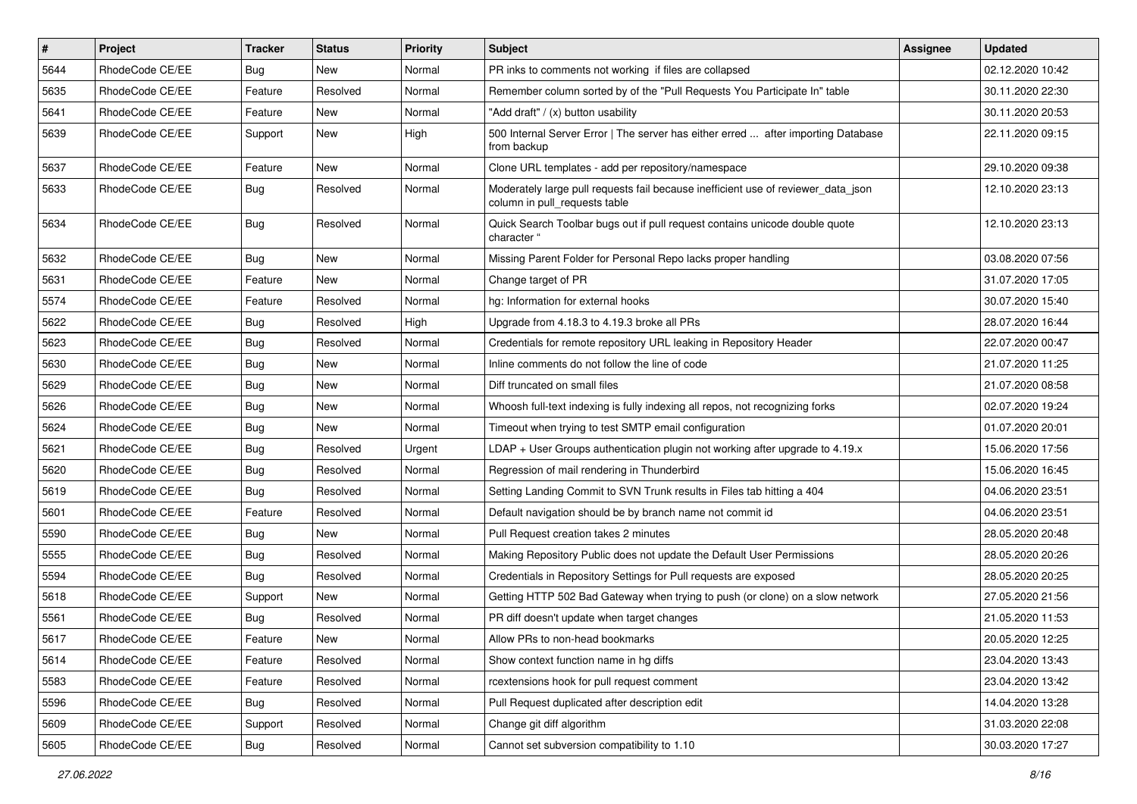| $\sharp$ | Project         | <b>Tracker</b> | <b>Status</b> | <b>Priority</b> | <b>Subject</b>                                                                                                     | <b>Assignee</b> | <b>Updated</b>   |
|----------|-----------------|----------------|---------------|-----------------|--------------------------------------------------------------------------------------------------------------------|-----------------|------------------|
| 5644     | RhodeCode CE/EE | Bug            | New           | Normal          | PR inks to comments not working if files are collapsed                                                             |                 | 02.12.2020 10:42 |
| 5635     | RhodeCode CE/EE | Feature        | Resolved      | Normal          | Remember column sorted by of the "Pull Requests You Participate In" table                                          |                 | 30.11.2020 22:30 |
| 5641     | RhodeCode CE/EE | Feature        | New           | Normal          | "Add draft" / (x) button usability                                                                                 |                 | 30.11.2020 20:53 |
| 5639     | RhodeCode CE/EE | Support        | <b>New</b>    | High            | 500 Internal Server Error   The server has either erred  after importing Database<br>from backup                   |                 | 22.11.2020 09:15 |
| 5637     | RhodeCode CE/EE | Feature        | <b>New</b>    | Normal          | Clone URL templates - add per repository/namespace                                                                 |                 | 29.10.2020 09:38 |
| 5633     | RhodeCode CE/EE | Bug            | Resolved      | Normal          | Moderately large pull requests fail because inefficient use of reviewer_data_json<br>column in pull requests table |                 | 12.10.2020 23:13 |
| 5634     | RhodeCode CE/EE | Bug            | Resolved      | Normal          | Quick Search Toolbar bugs out if pull request contains unicode double quote<br>character "                         |                 | 12.10.2020 23:13 |
| 5632     | RhodeCode CE/EE | Bug            | New           | Normal          | Missing Parent Folder for Personal Repo lacks proper handling                                                      |                 | 03.08.2020 07:56 |
| 5631     | RhodeCode CE/EE | Feature        | <b>New</b>    | Normal          | Change target of PR                                                                                                |                 | 31.07.2020 17:05 |
| 5574     | RhodeCode CE/EE | Feature        | Resolved      | Normal          | hg: Information for external hooks                                                                                 |                 | 30.07.2020 15:40 |
| 5622     | RhodeCode CE/EE | Bug            | Resolved      | High            | Upgrade from 4.18.3 to 4.19.3 broke all PRs                                                                        |                 | 28.07.2020 16:44 |
| 5623     | RhodeCode CE/EE | <b>Bug</b>     | Resolved      | Normal          | Credentials for remote repository URL leaking in Repository Header                                                 |                 | 22.07.2020 00:47 |
| 5630     | RhodeCode CE/EE | Bug            | New           | Normal          | Inline comments do not follow the line of code                                                                     |                 | 21.07.2020 11:25 |
| 5629     | RhodeCode CE/EE | Bug            | New           | Normal          | Diff truncated on small files                                                                                      |                 | 21.07.2020 08:58 |
| 5626     | RhodeCode CE/EE | Bug            | <b>New</b>    | Normal          | Whoosh full-text indexing is fully indexing all repos, not recognizing forks                                       |                 | 02.07.2020 19:24 |
| 5624     | RhodeCode CE/EE | Bug            | New           | Normal          | Timeout when trying to test SMTP email configuration                                                               |                 | 01.07.2020 20:01 |
| 5621     | RhodeCode CE/EE | Bug            | Resolved      | Urgent          | $LDAP + User Groups authentication playing not working after upgrade to 4.19.x$                                    |                 | 15.06.2020 17:56 |
| 5620     | RhodeCode CE/EE | Bug            | Resolved      | Normal          | Regression of mail rendering in Thunderbird                                                                        |                 | 15.06.2020 16:45 |
| 5619     | RhodeCode CE/EE | Bug            | Resolved      | Normal          | Setting Landing Commit to SVN Trunk results in Files tab hitting a 404                                             |                 | 04.06.2020 23:51 |
| 5601     | RhodeCode CE/EE | Feature        | Resolved      | Normal          | Default navigation should be by branch name not commit id                                                          |                 | 04.06.2020 23:51 |
| 5590     | RhodeCode CE/EE | Bug            | New           | Normal          | Pull Request creation takes 2 minutes                                                                              |                 | 28.05.2020 20:48 |
| 5555     | RhodeCode CE/EE | Bug            | Resolved      | Normal          | Making Repository Public does not update the Default User Permissions                                              |                 | 28.05.2020 20:26 |
| 5594     | RhodeCode CE/EE | Bug            | Resolved      | Normal          | Credentials in Repository Settings for Pull requests are exposed                                                   |                 | 28.05.2020 20:25 |
| 5618     | RhodeCode CE/EE | Support        | <b>New</b>    | Normal          | Getting HTTP 502 Bad Gateway when trying to push (or clone) on a slow network                                      |                 | 27.05.2020 21:56 |
| 5561     | RhodeCode CE/EE | Bug            | Resolved      | Normal          | PR diff doesn't update when target changes                                                                         |                 | 21.05.2020 11:53 |
| 5617     | RhodeCode CE/EE | Feature        | New           | Normal          | Allow PRs to non-head bookmarks                                                                                    |                 | 20.05.2020 12:25 |
| 5614     | RhodeCode CE/EE | Feature        | Resolved      | Normal          | Show context function name in hq diffs                                                                             |                 | 23.04.2020 13:43 |
| 5583     | RhodeCode CE/EE | Feature        | Resolved      | Normal          | rcextensions hook for pull request comment                                                                         |                 | 23.04.2020 13:42 |
| 5596     | RhodeCode CE/EE | Bug            | Resolved      | Normal          | Pull Request duplicated after description edit                                                                     |                 | 14.04.2020 13:28 |
| 5609     | RhodeCode CE/EE | Support        | Resolved      | Normal          | Change git diff algorithm                                                                                          |                 | 31.03.2020 22:08 |
| 5605     | RhodeCode CE/EE | Bug            | Resolved      | Normal          | Cannot set subversion compatibility to 1.10                                                                        |                 | 30.03.2020 17:27 |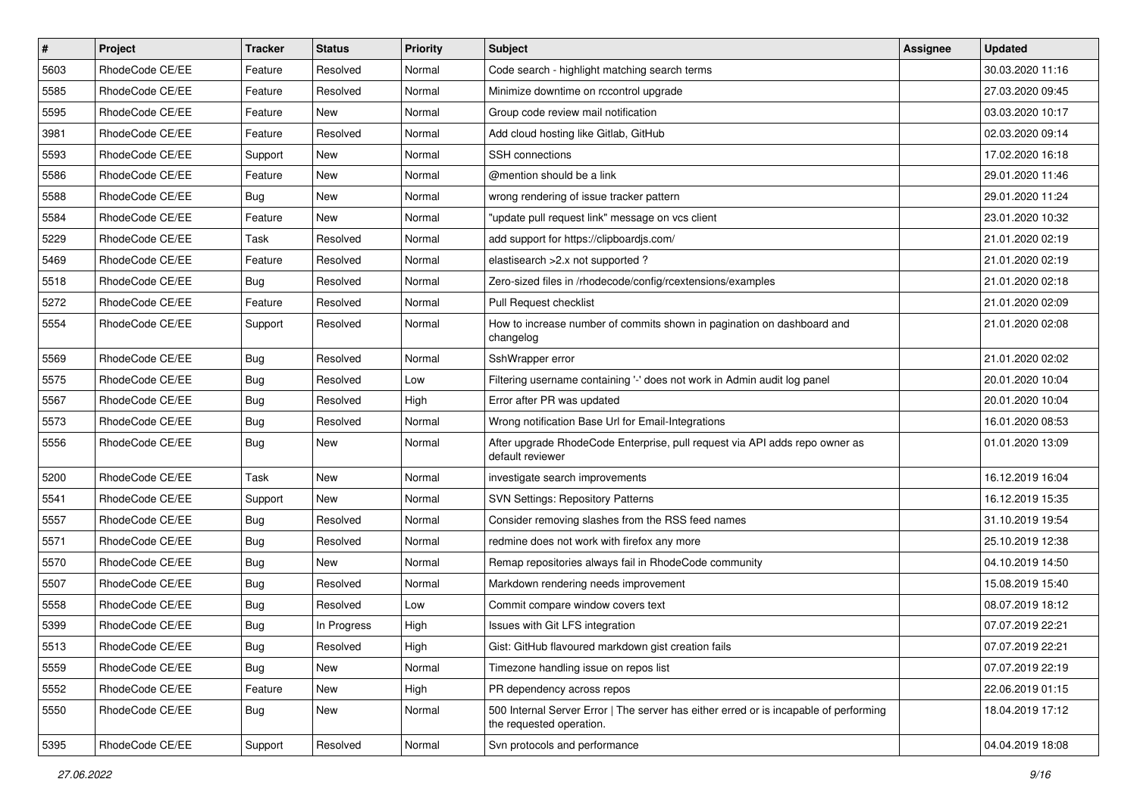| $\vert$ # | Project         | Tracker    | <b>Status</b> | <b>Priority</b> | Subject                                                                                                           | Assignee | <b>Updated</b>   |
|-----------|-----------------|------------|---------------|-----------------|-------------------------------------------------------------------------------------------------------------------|----------|------------------|
| 5603      | RhodeCode CE/EE | Feature    | Resolved      | Normal          | Code search - highlight matching search terms                                                                     |          | 30.03.2020 11:16 |
| 5585      | RhodeCode CE/EE | Feature    | Resolved      | Normal          | Minimize downtime on rccontrol upgrade                                                                            |          | 27.03.2020 09:45 |
| 5595      | RhodeCode CE/EE | Feature    | New           | Normal          | Group code review mail notification                                                                               |          | 03.03.2020 10:17 |
| 3981      | RhodeCode CE/EE | Feature    | Resolved      | Normal          | Add cloud hosting like Gitlab, GitHub                                                                             |          | 02.03.2020 09:14 |
| 5593      | RhodeCode CE/EE | Support    | New           | Normal          | <b>SSH</b> connections                                                                                            |          | 17.02.2020 16:18 |
| 5586      | RhodeCode CE/EE | Feature    | New           | Normal          | @mention should be a link                                                                                         |          | 29.01.2020 11:46 |
| 5588      | RhodeCode CE/EE | <b>Bug</b> | New           | Normal          | wrong rendering of issue tracker pattern                                                                          |          | 29.01.2020 11:24 |
| 5584      | RhodeCode CE/EE | Feature    | New           | Normal          | "update pull request link" message on vcs client                                                                  |          | 23.01.2020 10:32 |
| 5229      | RhodeCode CE/EE | Task       | Resolved      | Normal          | add support for https://clipboardjs.com/                                                                          |          | 21.01.2020 02:19 |
| 5469      | RhodeCode CE/EE | Feature    | Resolved      | Normal          | elastisearch > 2.x not supported?                                                                                 |          | 21.01.2020 02:19 |
| 5518      | RhodeCode CE/EE | <b>Bug</b> | Resolved      | Normal          | Zero-sized files in /rhodecode/config/rcextensions/examples                                                       |          | 21.01.2020 02:18 |
| 5272      | RhodeCode CE/EE | Feature    | Resolved      | Normal          | Pull Request checklist                                                                                            |          | 21.01.2020 02:09 |
| 5554      | RhodeCode CE/EE | Support    | Resolved      | Normal          | How to increase number of commits shown in pagination on dashboard and<br>changelog                               |          | 21.01.2020 02:08 |
| 5569      | RhodeCode CE/EE | <b>Bug</b> | Resolved      | Normal          | SshWrapper error                                                                                                  |          | 21.01.2020 02:02 |
| 5575      | RhodeCode CE/EE | <b>Bug</b> | Resolved      | Low             | Filtering username containing '-' does not work in Admin audit log panel                                          |          | 20.01.2020 10:04 |
| 5567      | RhodeCode CE/EE | <b>Bug</b> | Resolved      | High            | Error after PR was updated                                                                                        |          | 20.01.2020 10:04 |
| 5573      | RhodeCode CE/EE | <b>Bug</b> | Resolved      | Normal          | Wrong notification Base Url for Email-Integrations                                                                |          | 16.01.2020 08:53 |
| 5556      | RhodeCode CE/EE | <b>Bug</b> | New           | Normal          | After upgrade RhodeCode Enterprise, pull request via API adds repo owner as<br>default reviewer                   |          | 01.01.2020 13:09 |
| 5200      | RhodeCode CE/EE | Task       | <b>New</b>    | Normal          | investigate search improvements                                                                                   |          | 16.12.2019 16:04 |
| 5541      | RhodeCode CE/EE | Support    | New           | Normal          | <b>SVN Settings: Repository Patterns</b>                                                                          |          | 16.12.2019 15:35 |
| 5557      | RhodeCode CE/EE | Bug        | Resolved      | Normal          | Consider removing slashes from the RSS feed names                                                                 |          | 31.10.2019 19:54 |
| 5571      | RhodeCode CE/EE | <b>Bug</b> | Resolved      | Normal          | redmine does not work with firefox any more                                                                       |          | 25.10.2019 12:38 |
| 5570      | RhodeCode CE/EE | <b>Bug</b> | New           | Normal          | Remap repositories always fail in RhodeCode community                                                             |          | 04.10.2019 14:50 |
| 5507      | RhodeCode CE/EE | <b>Bug</b> | Resolved      | Normal          | Markdown rendering needs improvement                                                                              |          | 15.08.2019 15:40 |
| 5558      | RhodeCode CE/EE | <b>Bug</b> | Resolved      | Low             | Commit compare window covers text                                                                                 |          | 08.07.2019 18:12 |
| 5399      | RhodeCode CE/EE | <b>Bug</b> | In Progress   | High            | Issues with Git LFS integration                                                                                   |          | 07.07.2019 22:21 |
| 5513      | RhodeCode CE/EE | Bug        | Resolved      | High            | Gist: GitHub flavoured markdown gist creation fails                                                               |          | 07.07.2019 22:21 |
| 5559      | RhodeCode CE/EE | Bug        | New           | Normal          | Timezone handling issue on repos list                                                                             |          | 07.07.2019 22:19 |
| 5552      | RhodeCode CE/EE | Feature    | New           | High            | PR dependency across repos                                                                                        |          | 22.06.2019 01:15 |
| 5550      | RhodeCode CE/EE | <b>Bug</b> | New           | Normal          | 500 Internal Server Error   The server has either erred or is incapable of performing<br>the requested operation. |          | 18.04.2019 17:12 |
| 5395      | RhodeCode CE/EE | Support    | Resolved      | Normal          | Svn protocols and performance                                                                                     |          | 04.04.2019 18:08 |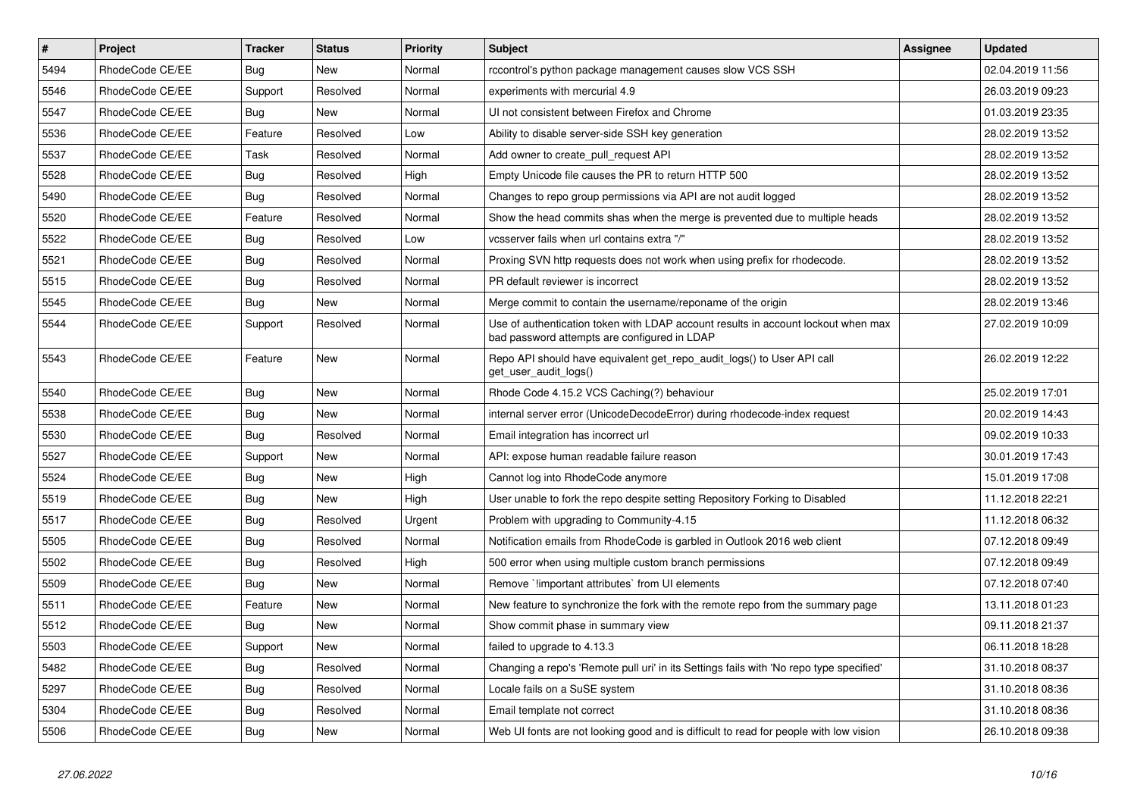| $\vert$ # | Project         | <b>Tracker</b> | <b>Status</b> | <b>Priority</b> | <b>Subject</b>                                                                                                                    | <b>Assignee</b> | <b>Updated</b>   |
|-----------|-----------------|----------------|---------------|-----------------|-----------------------------------------------------------------------------------------------------------------------------------|-----------------|------------------|
| 5494      | RhodeCode CE/EE | <b>Bug</b>     | <b>New</b>    | Normal          | rccontrol's python package management causes slow VCS SSH                                                                         |                 | 02.04.2019 11:56 |
| 5546      | RhodeCode CE/EE | Support        | Resolved      | Normal          | experiments with mercurial 4.9                                                                                                    |                 | 26.03.2019 09:23 |
| 5547      | RhodeCode CE/EE | Bug            | New           | Normal          | UI not consistent between Firefox and Chrome                                                                                      |                 | 01.03.2019 23:35 |
| 5536      | RhodeCode CE/EE | Feature        | Resolved      | Low             | Ability to disable server-side SSH key generation                                                                                 |                 | 28.02.2019 13:52 |
| 5537      | RhodeCode CE/EE | Task           | Resolved      | Normal          | Add owner to create pull request API                                                                                              |                 | 28.02.2019 13:52 |
| 5528      | RhodeCode CE/EE | <b>Bug</b>     | Resolved      | High            | Empty Unicode file causes the PR to return HTTP 500                                                                               |                 | 28.02.2019 13:52 |
| 5490      | RhodeCode CE/EE | Bug            | Resolved      | Normal          | Changes to repo group permissions via API are not audit logged                                                                    |                 | 28.02.2019 13:52 |
| 5520      | RhodeCode CE/EE | Feature        | Resolved      | Normal          | Show the head commits shas when the merge is prevented due to multiple heads                                                      |                 | 28.02.2019 13:52 |
| 5522      | RhodeCode CE/EE | Bug            | Resolved      | Low             | vcsserver fails when url contains extra "/"                                                                                       |                 | 28.02.2019 13:52 |
| 5521      | RhodeCode CE/EE | Bug            | Resolved      | Normal          | Proxing SVN http requests does not work when using prefix for rhodecode.                                                          |                 | 28.02.2019 13:52 |
| 5515      | RhodeCode CE/EE | <b>Bug</b>     | Resolved      | Normal          | PR default reviewer is incorrect                                                                                                  |                 | 28.02.2019 13:52 |
| 5545      | RhodeCode CE/EE | Bug            | New           | Normal          | Merge commit to contain the username/reponame of the origin                                                                       |                 | 28.02.2019 13:46 |
| 5544      | RhodeCode CE/EE | Support        | Resolved      | Normal          | Use of authentication token with LDAP account results in account lockout when max<br>bad password attempts are configured in LDAP |                 | 27.02.2019 10:09 |
| 5543      | RhodeCode CE/EE | Feature        | New           | Normal          | Repo API should have equivalent get repo audit logs() to User API call<br>get_user_audit_logs()                                   |                 | 26.02.2019 12:22 |
| 5540      | RhodeCode CE/EE | <b>Bug</b>     | <b>New</b>    | Normal          | Rhode Code 4.15.2 VCS Caching(?) behaviour                                                                                        |                 | 25.02.2019 17:01 |
| 5538      | RhodeCode CE/EE | <b>Bug</b>     | New           | Normal          | internal server error (UnicodeDecodeError) during rhodecode-index request                                                         |                 | 20.02.2019 14:43 |
| 5530      | RhodeCode CE/EE | Bug            | Resolved      | Normal          | Email integration has incorrect url                                                                                               |                 | 09.02.2019 10:33 |
| 5527      | RhodeCode CE/EE | Support        | New           | Normal          | API: expose human readable failure reason                                                                                         |                 | 30.01.2019 17:43 |
| 5524      | RhodeCode CE/EE | Bug            | <b>New</b>    | High            | Cannot log into RhodeCode anymore                                                                                                 |                 | 15.01.2019 17:08 |
| 5519      | RhodeCode CE/EE | Bug            | <b>New</b>    | High            | User unable to fork the repo despite setting Repository Forking to Disabled                                                       |                 | 11.12.2018 22:21 |
| 5517      | RhodeCode CE/EE | <b>Bug</b>     | Resolved      | Urgent          | Problem with upgrading to Community-4.15                                                                                          |                 | 11.12.2018 06:32 |
| 5505      | RhodeCode CE/EE | Bug            | Resolved      | Normal          | Notification emails from RhodeCode is garbled in Outlook 2016 web client                                                          |                 | 07.12.2018 09:49 |
| 5502      | RhodeCode CE/EE | <b>Bug</b>     | Resolved      | High            | 500 error when using multiple custom branch permissions                                                                           |                 | 07.12.2018 09:49 |
| 5509      | RhodeCode CE/EE | Bug            | New           | Normal          | Remove `limportant attributes` from UI elements                                                                                   |                 | 07.12.2018 07:40 |
| 5511      | RhodeCode CE/EE | Feature        | <b>New</b>    | Normal          | New feature to synchronize the fork with the remote repo from the summary page                                                    |                 | 13.11.2018 01:23 |
| 5512      | RhodeCode CE/EE | <b>Bug</b>     | New           | Normal          | Show commit phase in summary view                                                                                                 |                 | 09.11.2018 21:37 |
| 5503      | RhodeCode CE/EE | Support        | <b>New</b>    | Normal          | failed to upgrade to 4.13.3                                                                                                       |                 | 06.11.2018 18:28 |
| 5482      | RhodeCode CE/EE | <b>Bug</b>     | Resolved      | Normal          | Changing a repo's 'Remote pull uri' in its Settings fails with 'No repo type specified'                                           |                 | 31.10.2018 08:37 |
| 5297      | RhodeCode CE/EE | <b>Bug</b>     | Resolved      | Normal          | Locale fails on a SuSE system                                                                                                     |                 | 31.10.2018 08:36 |
| 5304      | RhodeCode CE/EE | Bug            | Resolved      | Normal          | Email template not correct                                                                                                        |                 | 31.10.2018 08:36 |
| 5506      | RhodeCode CE/EE | Bug            | New           | Normal          | Web UI fonts are not looking good and is difficult to read for people with low vision                                             |                 | 26.10.2018 09:38 |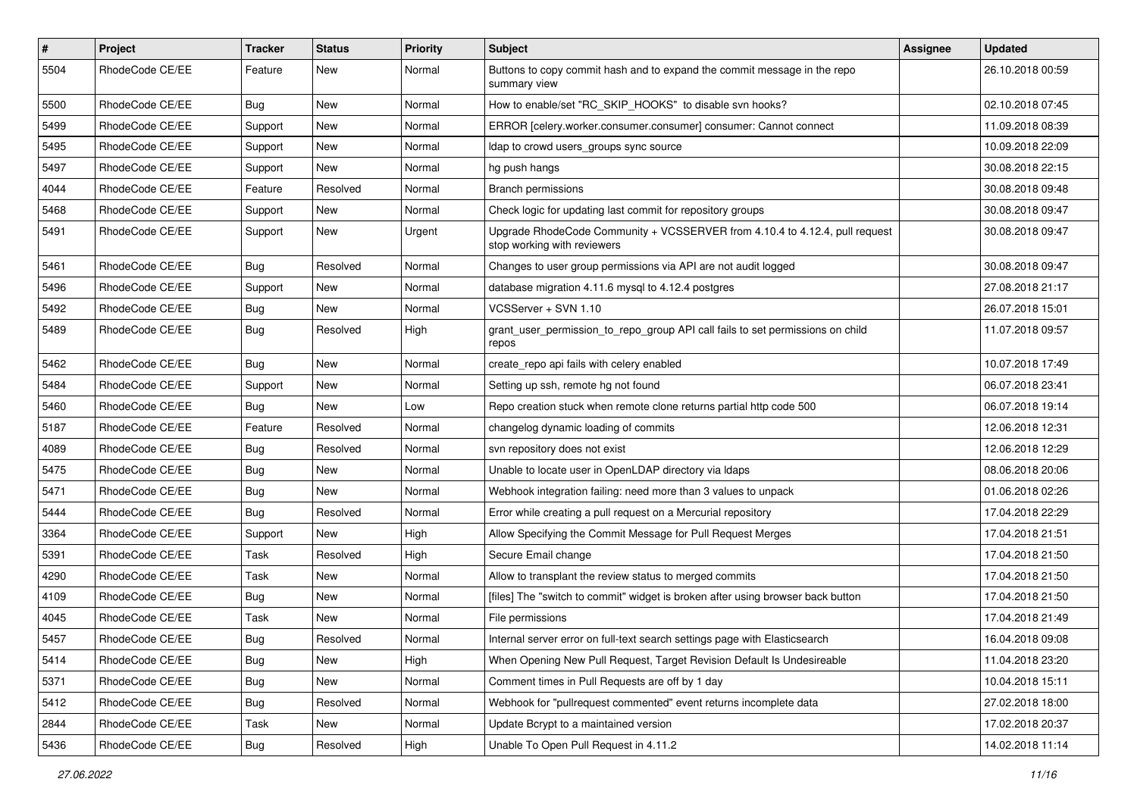| $\vert$ # | Project         | Tracker    | <b>Status</b> | <b>Priority</b> | Subject                                                                                                    | Assignee | <b>Updated</b>   |
|-----------|-----------------|------------|---------------|-----------------|------------------------------------------------------------------------------------------------------------|----------|------------------|
| 5504      | RhodeCode CE/EE | Feature    | New           | Normal          | Buttons to copy commit hash and to expand the commit message in the repo<br>summary view                   |          | 26.10.2018 00:59 |
| 5500      | RhodeCode CE/EE | Bug        | New           | Normal          | How to enable/set "RC_SKIP_HOOKS" to disable svn hooks?                                                    |          | 02.10.2018 07:45 |
| 5499      | RhodeCode CE/EE | Support    | New           | Normal          | ERROR [celery.worker.consumer.consumer] consumer: Cannot connect                                           |          | 11.09.2018 08:39 |
| 5495      | RhodeCode CE/EE | Support    | New           | Normal          | Idap to crowd users_groups sync source                                                                     |          | 10.09.2018 22:09 |
| 5497      | RhodeCode CE/EE | Support    | New           | Normal          | hg push hangs                                                                                              |          | 30.08.2018 22:15 |
| 4044      | RhodeCode CE/EE | Feature    | Resolved      | Normal          | <b>Branch permissions</b>                                                                                  |          | 30.08.2018 09:48 |
| 5468      | RhodeCode CE/EE | Support    | New           | Normal          | Check logic for updating last commit for repository groups                                                 |          | 30.08.2018 09:47 |
| 5491      | RhodeCode CE/EE | Support    | New           | Urgent          | Upgrade RhodeCode Community + VCSSERVER from 4.10.4 to 4.12.4, pull request<br>stop working with reviewers |          | 30.08.2018 09:47 |
| 5461      | RhodeCode CE/EE | Bug        | Resolved      | Normal          | Changes to user group permissions via API are not audit logged                                             |          | 30.08.2018 09:47 |
| 5496      | RhodeCode CE/EE | Support    | New           | Normal          | database migration 4.11.6 mysql to 4.12.4 postgres                                                         |          | 27.08.2018 21:17 |
| 5492      | RhodeCode CE/EE | <b>Bug</b> | New           | Normal          | VCSServer + SVN 1.10                                                                                       |          | 26.07.2018 15:01 |
| 5489      | RhodeCode CE/EE | <b>Bug</b> | Resolved      | High            | grant_user_permission_to_repo_group API call fails to set permissions on child<br>repos                    |          | 11.07.2018 09:57 |
| 5462      | RhodeCode CE/EE | Bug        | New           | Normal          | create repo api fails with celery enabled                                                                  |          | 10.07.2018 17:49 |
| 5484      | RhodeCode CE/EE | Support    | New           | Normal          | Setting up ssh, remote hg not found                                                                        |          | 06.07.2018 23:41 |
| 5460      | RhodeCode CE/EE | Bug        | New           | Low             | Repo creation stuck when remote clone returns partial http code 500                                        |          | 06.07.2018 19:14 |
| 5187      | RhodeCode CE/EE | Feature    | Resolved      | Normal          | changelog dynamic loading of commits                                                                       |          | 12.06.2018 12:31 |
| 4089      | RhodeCode CE/EE | <b>Bug</b> | Resolved      | Normal          | svn repository does not exist                                                                              |          | 12.06.2018 12:29 |
| 5475      | RhodeCode CE/EE | <b>Bug</b> | New           | Normal          | Unable to locate user in OpenLDAP directory via Idaps                                                      |          | 08.06.2018 20:06 |
| 5471      | RhodeCode CE/EE | <b>Bug</b> | New           | Normal          | Webhook integration failing: need more than 3 values to unpack                                             |          | 01.06.2018 02:26 |
| 5444      | RhodeCode CE/EE | Bug        | Resolved      | Normal          | Error while creating a pull request on a Mercurial repository                                              |          | 17.04.2018 22:29 |
| 3364      | RhodeCode CE/EE | Support    | New           | High            | Allow Specifying the Commit Message for Pull Request Merges                                                |          | 17.04.2018 21:51 |
| 5391      | RhodeCode CE/EE | Task       | Resolved      | High            | Secure Email change                                                                                        |          | 17.04.2018 21:50 |
| 4290      | RhodeCode CE/EE | Task       | New           | Normal          | Allow to transplant the review status to merged commits                                                    |          | 17.04.2018 21:50 |
| 4109      | RhodeCode CE/EE | <b>Bug</b> | New           | Normal          | [files] The "switch to commit" widget is broken after using browser back button                            |          | 17.04.2018 21:50 |
| 4045      | RhodeCode CE/EE | Task       | New           | Normal          | File permissions                                                                                           |          | 17.04.2018 21:49 |
| 5457      | RhodeCode CE/EE | Bug        | Resolved      | Normal          | Internal server error on full-text search settings page with Elasticsearch                                 |          | 16.04.2018 09:08 |
| 5414      | RhodeCode CE/EE | <b>Bug</b> | New           | High            | When Opening New Pull Request, Target Revision Default Is Undesireable                                     |          | 11.04.2018 23:20 |
| 5371      | RhodeCode CE/EE | Bug        | New           | Normal          | Comment times in Pull Requests are off by 1 day                                                            |          | 10.04.2018 15:11 |
| 5412      | RhodeCode CE/EE | <b>Bug</b> | Resolved      | Normal          | Webhook for "pullrequest commented" event returns incomplete data                                          |          | 27.02.2018 18:00 |
| 2844      | RhodeCode CE/EE | Task       | New           | Normal          | Update Bcrypt to a maintained version                                                                      |          | 17.02.2018 20:37 |
| 5436      | RhodeCode CE/EE | Bug        | Resolved      | High            | Unable To Open Pull Request in 4.11.2                                                                      |          | 14.02.2018 11:14 |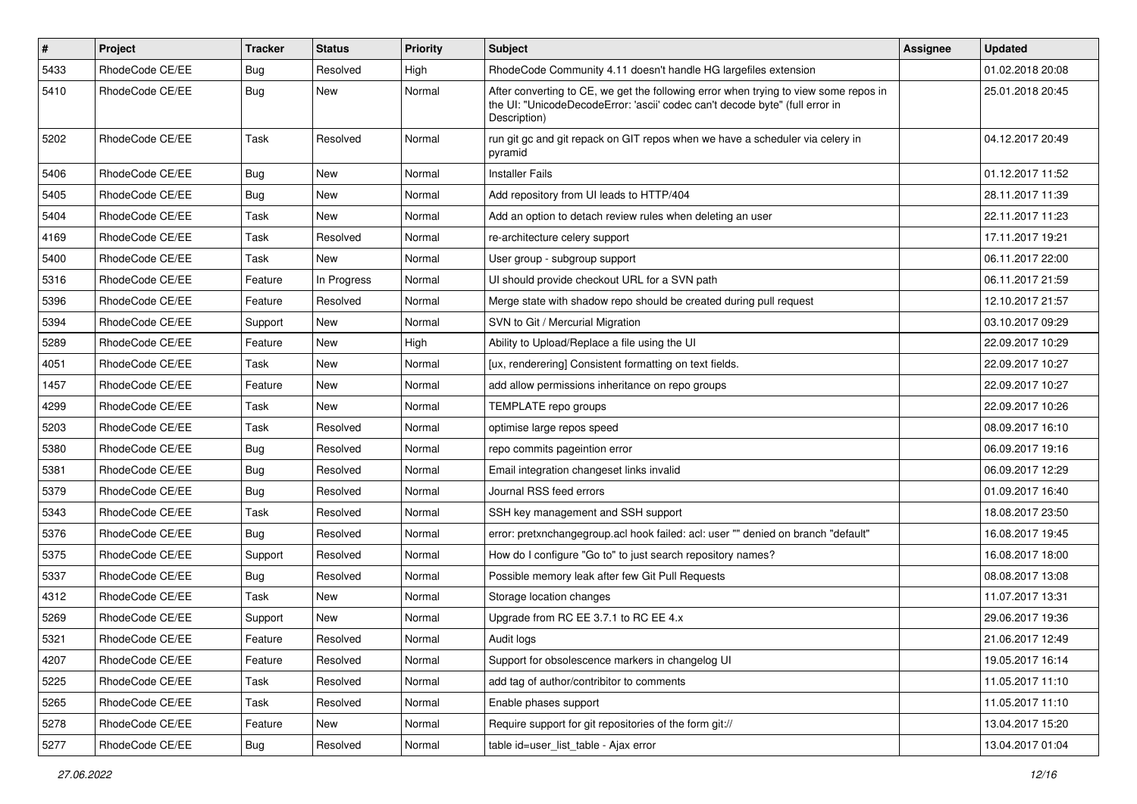| $\vert$ # | <b>Project</b>  | <b>Tracker</b> | <b>Status</b> | <b>Priority</b> | <b>Subject</b>                                                                                                                                                                       | Assignee | <b>Updated</b>   |
|-----------|-----------------|----------------|---------------|-----------------|--------------------------------------------------------------------------------------------------------------------------------------------------------------------------------------|----------|------------------|
| 5433      | RhodeCode CE/EE | <b>Bug</b>     | Resolved      | High            | RhodeCode Community 4.11 doesn't handle HG largefiles extension                                                                                                                      |          | 01.02.2018 20:08 |
| 5410      | RhodeCode CE/EE | <b>Bug</b>     | New           | Normal          | After converting to CE, we get the following error when trying to view some repos in<br>the UI: "UnicodeDecodeError: 'ascii' codec can't decode byte" (full error in<br>Description) |          | 25.01.2018 20:45 |
| 5202      | RhodeCode CE/EE | Task           | Resolved      | Normal          | run git gc and git repack on GIT repos when we have a scheduler via celery in<br>pyramid                                                                                             |          | 04.12.2017 20:49 |
| 5406      | RhodeCode CE/EE | Bug            | New           | Normal          | <b>Installer Fails</b>                                                                                                                                                               |          | 01.12.2017 11:52 |
| 5405      | RhodeCode CE/EE | Bug            | <b>New</b>    | Normal          | Add repository from UI leads to HTTP/404                                                                                                                                             |          | 28.11.2017 11:39 |
| 5404      | RhodeCode CE/EE | Task           | <b>New</b>    | Normal          | Add an option to detach review rules when deleting an user                                                                                                                           |          | 22.11.2017 11:23 |
| 4169      | RhodeCode CE/EE | Task           | Resolved      | Normal          | re-architecture celery support                                                                                                                                                       |          | 17.11.2017 19:21 |
| 5400      | RhodeCode CE/EE | Task           | New           | Normal          | User group - subgroup support                                                                                                                                                        |          | 06.11.2017 22:00 |
| 5316      | RhodeCode CE/EE | Feature        | In Progress   | Normal          | UI should provide checkout URL for a SVN path                                                                                                                                        |          | 06.11.2017 21:59 |
| 5396      | RhodeCode CE/EE | Feature        | Resolved      | Normal          | Merge state with shadow repo should be created during pull request                                                                                                                   |          | 12.10.2017 21:57 |
| 5394      | RhodeCode CE/EE | Support        | New           | Normal          | SVN to Git / Mercurial Migration                                                                                                                                                     |          | 03.10.2017 09:29 |
| 5289      | RhodeCode CE/EE | Feature        | <b>New</b>    | High            | Ability to Upload/Replace a file using the UI                                                                                                                                        |          | 22.09.2017 10:29 |
| 4051      | RhodeCode CE/EE | Task           | New           | Normal          | [ux, renderering] Consistent formatting on text fields.                                                                                                                              |          | 22.09.2017 10:27 |
| 1457      | RhodeCode CE/EE | Feature        | <b>New</b>    | Normal          | add allow permissions inheritance on repo groups                                                                                                                                     |          | 22.09.2017 10:27 |
| 4299      | RhodeCode CE/EE | Task           | <b>New</b>    | Normal          | TEMPLATE repo groups                                                                                                                                                                 |          | 22.09.2017 10:26 |
| 5203      | RhodeCode CE/EE | Task           | Resolved      | Normal          | optimise large repos speed                                                                                                                                                           |          | 08.09.2017 16:10 |
| 5380      | RhodeCode CE/EE | Bug            | Resolved      | Normal          | repo commits pageintion error                                                                                                                                                        |          | 06.09.2017 19:16 |
| 5381      | RhodeCode CE/EE | Bug            | Resolved      | Normal          | Email integration changeset links invalid                                                                                                                                            |          | 06.09.2017 12:29 |
| 5379      | RhodeCode CE/EE | <b>Bug</b>     | Resolved      | Normal          | Journal RSS feed errors                                                                                                                                                              |          | 01.09.2017 16:40 |
| 5343      | RhodeCode CE/EE | <b>Task</b>    | Resolved      | Normal          | SSH key management and SSH support                                                                                                                                                   |          | 18.08.2017 23:50 |
| 5376      | RhodeCode CE/EE | Bug            | Resolved      | Normal          | error: pretxnchangegroup.acl hook failed: acl: user "" denied on branch "default"                                                                                                    |          | 16.08.2017 19:45 |
| 5375      | RhodeCode CE/EE | Support        | Resolved      | Normal          | How do I configure "Go to" to just search repository names?                                                                                                                          |          | 16.08.2017 18:00 |
| 5337      | RhodeCode CE/EE | Bug            | Resolved      | Normal          | Possible memory leak after few Git Pull Requests                                                                                                                                     |          | 08.08.2017 13:08 |
| 4312      | RhodeCode CE/EE | Task           | New           | Normal          | Storage location changes                                                                                                                                                             |          | 11.07.2017 13:31 |
| 5269      | RhodeCode CE/EE | Support        | New           | Normal          | Upgrade from RC EE 3.7.1 to RC EE 4.x                                                                                                                                                |          | 29.06.2017 19:36 |
| 5321      | RhodeCode CE/EE | Feature        | Resolved      | Normal          | Audit logs                                                                                                                                                                           |          | 21.06.2017 12:49 |
| 4207      | RhodeCode CE/EE | Feature        | Resolved      | Normal          | Support for obsolescence markers in changelog UI                                                                                                                                     |          | 19.05.2017 16:14 |
| 5225      | RhodeCode CE/EE | Task           | Resolved      | Normal          | add tag of author/contribitor to comments                                                                                                                                            |          | 11.05.2017 11:10 |
| 5265      | RhodeCode CE/EE | Task           | Resolved      | Normal          | Enable phases support                                                                                                                                                                |          | 11.05.2017 11:10 |
| 5278      | RhodeCode CE/EE | Feature        | New           | Normal          | Require support for git repositories of the form git://                                                                                                                              |          | 13.04.2017 15:20 |
| 5277      | RhodeCode CE/EE | <b>Bug</b>     | Resolved      | Normal          | table id=user list table - Ajax error                                                                                                                                                |          | 13.04.2017 01:04 |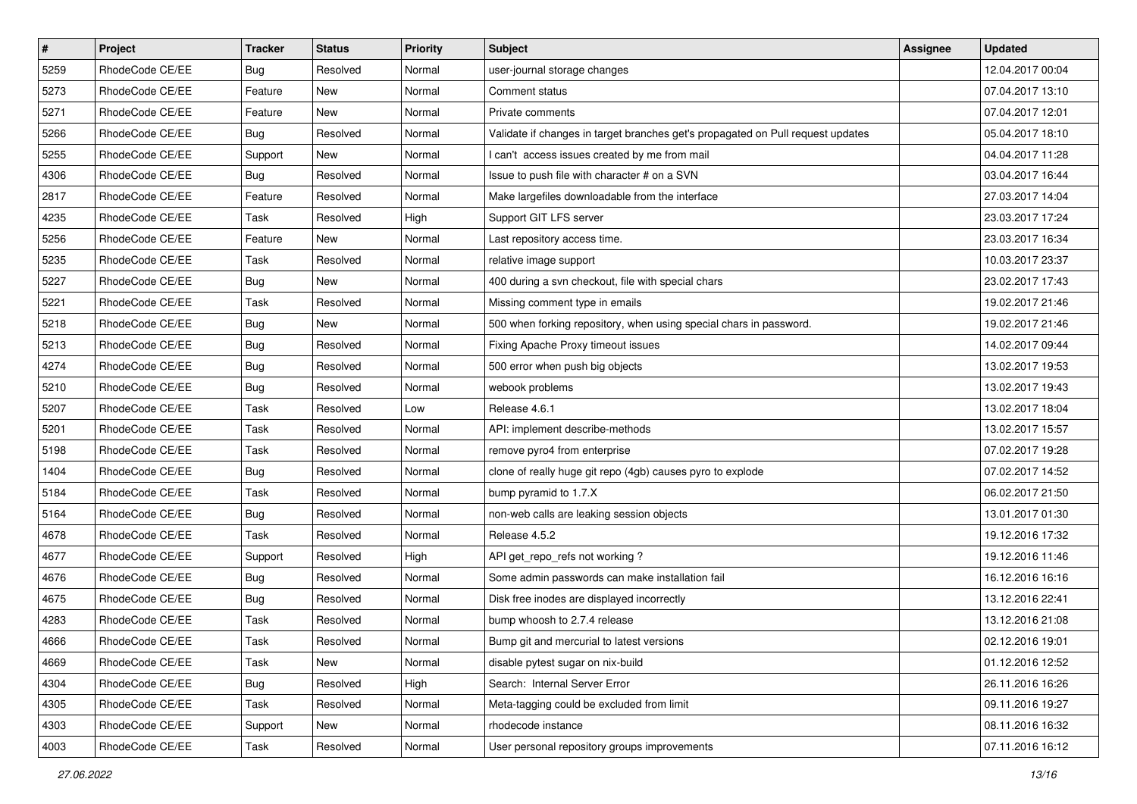| $\sharp$ | Project         | <b>Tracker</b> | <b>Status</b> | Priority | <b>Subject</b>                                                                  | <b>Assignee</b> | <b>Updated</b>   |
|----------|-----------------|----------------|---------------|----------|---------------------------------------------------------------------------------|-----------------|------------------|
| 5259     | RhodeCode CE/EE | Bug            | Resolved      | Normal   | user-journal storage changes                                                    |                 | 12.04.2017 00:04 |
| 5273     | RhodeCode CE/EE | Feature        | <b>New</b>    | Normal   | Comment status                                                                  |                 | 07.04.2017 13:10 |
| 5271     | RhodeCode CE/EE | Feature        | New           | Normal   | Private comments                                                                |                 | 07.04.2017 12:01 |
| 5266     | RhodeCode CE/EE | Bug            | Resolved      | Normal   | Validate if changes in target branches get's propagated on Pull request updates |                 | 05.04.2017 18:10 |
| 5255     | RhodeCode CE/EE | Support        | New           | Normal   | I can't access issues created by me from mail                                   |                 | 04.04.2017 11:28 |
| 4306     | RhodeCode CE/EE | Bug            | Resolved      | Normal   | Issue to push file with character # on a SVN                                    |                 | 03.04.2017 16:44 |
| 2817     | RhodeCode CE/EE | Feature        | Resolved      | Normal   | Make largefiles downloadable from the interface                                 |                 | 27.03.2017 14:04 |
| 4235     | RhodeCode CE/EE | Task           | Resolved      | High     | Support GIT LFS server                                                          |                 | 23.03.2017 17:24 |
| 5256     | RhodeCode CE/EE | Feature        | <b>New</b>    | Normal   | Last repository access time.                                                    |                 | 23.03.2017 16:34 |
| 5235     | RhodeCode CE/EE | <b>Task</b>    | Resolved      | Normal   | relative image support                                                          |                 | 10.03.2017 23:37 |
| 5227     | RhodeCode CE/EE | Bug            | <b>New</b>    | Normal   | 400 during a svn checkout, file with special chars                              |                 | 23.02.2017 17:43 |
| 5221     | RhodeCode CE/EE | Task           | Resolved      | Normal   | Missing comment type in emails                                                  |                 | 19.02.2017 21:46 |
| 5218     | RhodeCode CE/EE | Bug            | New           | Normal   | 500 when forking repository, when using special chars in password.              |                 | 19.02.2017 21:46 |
| 5213     | RhodeCode CE/EE | Bug            | Resolved      | Normal   | Fixing Apache Proxy timeout issues                                              |                 | 14.02.2017 09:44 |
| 4274     | RhodeCode CE/EE | Bug            | Resolved      | Normal   | 500 error when push big objects                                                 |                 | 13.02.2017 19:53 |
| 5210     | RhodeCode CE/EE | Bug            | Resolved      | Normal   | webook problems                                                                 |                 | 13.02.2017 19:43 |
| 5207     | RhodeCode CE/EE | Task           | Resolved      | Low      | Release 4.6.1                                                                   |                 | 13.02.2017 18:04 |
| 5201     | RhodeCode CE/EE | <b>Task</b>    | Resolved      | Normal   | API: implement describe-methods                                                 |                 | 13.02.2017 15:57 |
| 5198     | RhodeCode CE/EE | Task           | Resolved      | Normal   | remove pyro4 from enterprise                                                    |                 | 07.02.2017 19:28 |
| 1404     | RhodeCode CE/EE | Bug            | Resolved      | Normal   | clone of really huge git repo (4gb) causes pyro to explode                      |                 | 07.02.2017 14:52 |
| 5184     | RhodeCode CE/EE | Task           | Resolved      | Normal   | bump pyramid to 1.7.X                                                           |                 | 06.02.2017 21:50 |
| 5164     | RhodeCode CE/EE | Bug            | Resolved      | Normal   | non-web calls are leaking session objects                                       |                 | 13.01.2017 01:30 |
| 4678     | RhodeCode CE/EE | Task           | Resolved      | Normal   | Release 4.5.2                                                                   |                 | 19.12.2016 17:32 |
| 4677     | RhodeCode CE/EE | Support        | Resolved      | High     | API get_repo_refs not working?                                                  |                 | 19.12.2016 11:46 |
| 4676     | RhodeCode CE/EE | Bug            | Resolved      | Normal   | Some admin passwords can make installation fail                                 |                 | 16.12.2016 16:16 |
| 4675     | RhodeCode CE/EE | <b>Bug</b>     | Resolved      | Normal   | Disk free inodes are displayed incorrectly                                      |                 | 13.12.2016 22:41 |
| 4283     | RhodeCode CE/EE | Task           | Resolved      | Normal   | bump whoosh to 2.7.4 release                                                    |                 | 13.12.2016 21:08 |
| 4666     | RhodeCode CE/EE | Task           | Resolved      | Normal   | Bump git and mercurial to latest versions                                       |                 | 02.12.2016 19:01 |
| 4669     | RhodeCode CE/EE | Task           | New           | Normal   | disable pytest sugar on nix-build                                               |                 | 01.12.2016 12:52 |
| 4304     | RhodeCode CE/EE | Bug            | Resolved      | High     | Search: Internal Server Error                                                   |                 | 26.11.2016 16:26 |
| 4305     | RhodeCode CE/EE | Task           | Resolved      | Normal   | Meta-tagging could be excluded from limit                                       |                 | 09.11.2016 19:27 |
| 4303     | RhodeCode CE/EE | Support        | New           | Normal   | rhodecode instance                                                              |                 | 08.11.2016 16:32 |
| 4003     | RhodeCode CE/EE | Task           | Resolved      | Normal   | User personal repository groups improvements                                    |                 | 07.11.2016 16:12 |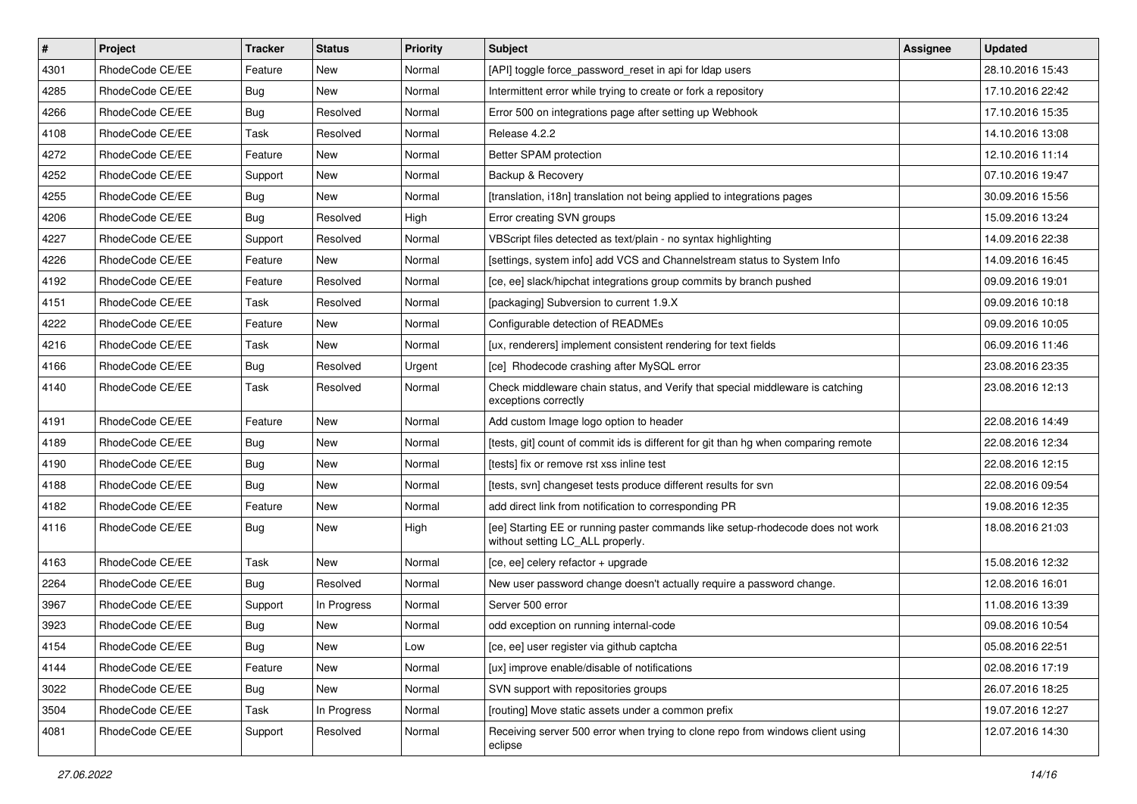| $\overline{\boldsymbol{H}}$ | Project         | <b>Tracker</b> | <b>Status</b> | Priority | <b>Subject</b>                                                                                                     | <b>Assignee</b> | <b>Updated</b>   |
|-----------------------------|-----------------|----------------|---------------|----------|--------------------------------------------------------------------------------------------------------------------|-----------------|------------------|
| 4301                        | RhodeCode CE/EE | Feature        | New           | Normal   | [API] toggle force password reset in api for Idap users                                                            |                 | 28.10.2016 15:43 |
| 4285                        | RhodeCode CE/EE | Bug            | <b>New</b>    | Normal   | Intermittent error while trying to create or fork a repository                                                     |                 | 17.10.2016 22:42 |
| 4266                        | RhodeCode CE/EE | Bug            | Resolved      | Normal   | Error 500 on integrations page after setting up Webhook                                                            |                 | 17.10.2016 15:35 |
| 4108                        | RhodeCode CE/EE | Task           | Resolved      | Normal   | Release 4.2.2                                                                                                      |                 | 14.10.2016 13:08 |
| 4272                        | RhodeCode CE/EE | Feature        | <b>New</b>    | Normal   | Better SPAM protection                                                                                             |                 | 12.10.2016 11:14 |
| 4252                        | RhodeCode CE/EE | Support        | New           | Normal   | Backup & Recovery                                                                                                  |                 | 07.10.2016 19:47 |
| 4255                        | RhodeCode CE/EE | Bug            | New           | Normal   | [translation, i18n] translation not being applied to integrations pages                                            |                 | 30.09.2016 15:56 |
| 4206                        | RhodeCode CE/EE | Bug            | Resolved      | High     | Error creating SVN groups                                                                                          |                 | 15.09.2016 13:24 |
| 4227                        | RhodeCode CE/EE | Support        | Resolved      | Normal   | VBScript files detected as text/plain - no syntax highlighting                                                     |                 | 14.09.2016 22:38 |
| 4226                        | RhodeCode CE/EE | Feature        | <b>New</b>    | Normal   | [settings, system info] add VCS and Channelstream status to System Info                                            |                 | 14.09.2016 16:45 |
| 4192                        | RhodeCode CE/EE | Feature        | Resolved      | Normal   | [ce, ee] slack/hipchat integrations group commits by branch pushed                                                 |                 | 09.09.2016 19:01 |
| 4151                        | RhodeCode CE/EE | Task           | Resolved      | Normal   | [packaging] Subversion to current 1.9.X                                                                            |                 | 09.09.2016 10:18 |
| 4222                        | RhodeCode CE/EE | Feature        | New           | Normal   | Configurable detection of READMEs                                                                                  |                 | 09.09.2016 10:05 |
| 4216                        | RhodeCode CE/EE | Task           | New           | Normal   | [ux, renderers] implement consistent rendering for text fields                                                     |                 | 06.09.2016 11:46 |
| 4166                        | RhodeCode CE/EE | Bug            | Resolved      | Urgent   | [ce] Rhodecode crashing after MySQL error                                                                          |                 | 23.08.2016 23:35 |
| 4140                        | RhodeCode CE/EE | Task           | Resolved      | Normal   | Check middleware chain status, and Verify that special middleware is catching<br>exceptions correctly              |                 | 23.08.2016 12:13 |
| 4191                        | RhodeCode CE/EE | Feature        | <b>New</b>    | Normal   | Add custom Image logo option to header                                                                             |                 | 22.08.2016 14:49 |
| 4189                        | RhodeCode CE/EE | <b>Bug</b>     | New           | Normal   | [tests, git] count of commit ids is different for git than hg when comparing remote                                |                 | 22.08.2016 12:34 |
| 4190                        | RhodeCode CE/EE | Bug            | New           | Normal   | [tests] fix or remove rst xss inline test                                                                          |                 | 22.08.2016 12:15 |
| 4188                        | RhodeCode CE/EE | Bug            | <b>New</b>    | Normal   | [tests, svn] changeset tests produce different results for svn                                                     |                 | 22.08.2016 09:54 |
| 4182                        | RhodeCode CE/EE | Feature        | <b>New</b>    | Normal   | add direct link from notification to corresponding PR                                                              |                 | 19.08.2016 12:35 |
| 4116                        | RhodeCode CE/EE | <b>Bug</b>     | New           | High     | [ee] Starting EE or running paster commands like setup-rhodecode does not work<br>without setting LC_ALL properly. |                 | 18.08.2016 21:03 |
| 4163                        | RhodeCode CE/EE | Task           | New           | Normal   | [ce, ee] celery refactor + upgrade                                                                                 |                 | 15.08.2016 12:32 |
| 2264                        | RhodeCode CE/EE | Bug            | Resolved      | Normal   | New user password change doesn't actually require a password change.                                               |                 | 12.08.2016 16:01 |
| 3967                        | RhodeCode CE/EE | Support        | In Progress   | Normal   | Server 500 error                                                                                                   |                 | 11.08.2016 13:39 |
| 3923                        | RhodeCode CE/EE | Bug            | New           | Normal   | odd exception on running internal-code                                                                             |                 | 09.08.2016 10:54 |
| 4154                        | RhodeCode CE/EE | Bug            | New           | Low      | [ce, ee] user register via github captcha                                                                          |                 | 05.08.2016 22:51 |
| 4144                        | RhodeCode CE/EE | Feature        | New           | Normal   | [ux] improve enable/disable of notifications                                                                       |                 | 02.08.2016 17:19 |
| 3022                        | RhodeCode CE/EE | Bug            | New           | Normal   | SVN support with repositories groups                                                                               |                 | 26.07.2016 18:25 |
| 3504                        | RhodeCode CE/EE | Task           | In Progress   | Normal   | [routing] Move static assets under a common prefix                                                                 |                 | 19.07.2016 12:27 |
| 4081                        | RhodeCode CE/EE | Support        | Resolved      | Normal   | Receiving server 500 error when trying to clone repo from windows client using<br>eclipse                          |                 | 12.07.2016 14:30 |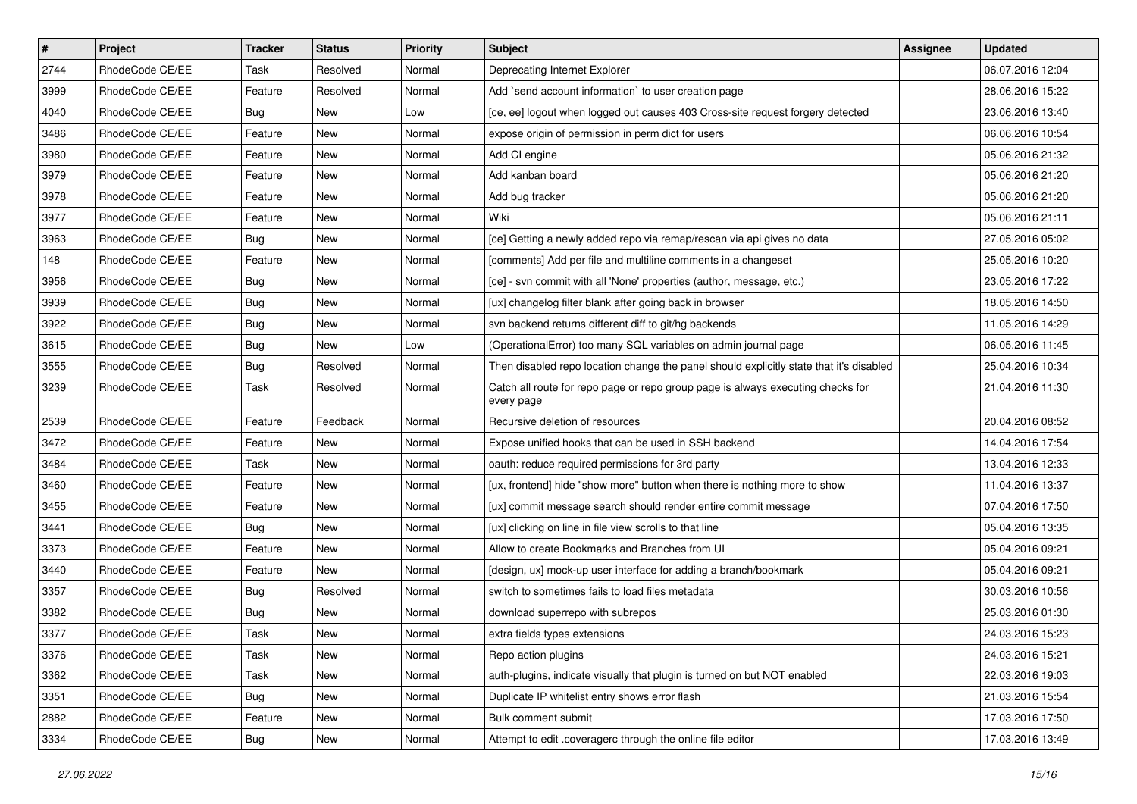| $\pmb{\#}$ | Project         | <b>Tracker</b> | <b>Status</b> | <b>Priority</b> | <b>Subject</b>                                                                                | <b>Assignee</b> | <b>Updated</b>   |
|------------|-----------------|----------------|---------------|-----------------|-----------------------------------------------------------------------------------------------|-----------------|------------------|
| 2744       | RhodeCode CE/EE | Task           | Resolved      | Normal          | Deprecating Internet Explorer                                                                 |                 | 06.07.2016 12:04 |
| 3999       | RhodeCode CE/EE | Feature        | Resolved      | Normal          | Add `send account information` to user creation page                                          |                 | 28.06.2016 15:22 |
| 4040       | RhodeCode CE/EE | Bug            | New           | Low             | [ce, ee] logout when logged out causes 403 Cross-site request forgery detected                |                 | 23.06.2016 13:40 |
| 3486       | RhodeCode CE/EE | Feature        | <b>New</b>    | Normal          | expose origin of permission in perm dict for users                                            |                 | 06.06.2016 10:54 |
| 3980       | RhodeCode CE/EE | Feature        | <b>New</b>    | Normal          | Add CI engine                                                                                 |                 | 05.06.2016 21:32 |
| 3979       | RhodeCode CE/EE | Feature        | New           | Normal          | Add kanban board                                                                              |                 | 05.06.2016 21:20 |
| 3978       | RhodeCode CE/EE | Feature        | New           | Normal          | Add bug tracker                                                                               |                 | 05.06.2016 21:20 |
| 3977       | RhodeCode CE/EE | Feature        | New           | Normal          | Wiki                                                                                          |                 | 05.06.2016 21:11 |
| 3963       | RhodeCode CE/EE | Bug            | <b>New</b>    | Normal          | [ce] Getting a newly added repo via remap/rescan via api gives no data                        |                 | 27.05.2016 05:02 |
| 148        | RhodeCode CE/EE | Feature        | <b>New</b>    | Normal          | [comments] Add per file and multiline comments in a changeset                                 |                 | 25.05.2016 10:20 |
| 3956       | RhodeCode CE/EE | Bug            | New           | Normal          | [ce] - svn commit with all 'None' properties (author, message, etc.)                          |                 | 23.05.2016 17:22 |
| 3939       | RhodeCode CE/EE | Bug            | New           | Normal          | [ux] changelog filter blank after going back in browser                                       |                 | 18.05.2016 14:50 |
| 3922       | RhodeCode CE/EE | Bug            | New           | Normal          | svn backend returns different diff to git/hg backends                                         |                 | 11.05.2016 14:29 |
| 3615       | RhodeCode CE/EE | Bug            | <b>New</b>    | Low             | (OperationalError) too many SQL variables on admin journal page                               |                 | 06.05.2016 11:45 |
| 3555       | RhodeCode CE/EE | Bug            | Resolved      | Normal          | Then disabled repo location change the panel should explicitly state that it's disabled       |                 | 25.04.2016 10:34 |
| 3239       | RhodeCode CE/EE | Task           | Resolved      | Normal          | Catch all route for repo page or repo group page is always executing checks for<br>every page |                 | 21.04.2016 11:30 |
| 2539       | RhodeCode CE/EE | Feature        | Feedback      | Normal          | Recursive deletion of resources                                                               |                 | 20.04.2016 08:52 |
| 3472       | RhodeCode CE/EE | Feature        | New           | Normal          | Expose unified hooks that can be used in SSH backend                                          |                 | 14.04.2016 17:54 |
| 3484       | RhodeCode CE/EE | Task           | New           | Normal          | oauth: reduce required permissions for 3rd party                                              |                 | 13.04.2016 12:33 |
| 3460       | RhodeCode CE/EE | Feature        | <b>New</b>    | Normal          | [ux, frontend] hide "show more" button when there is nothing more to show                     |                 | 11.04.2016 13:37 |
| 3455       | RhodeCode CE/EE | Feature        | <b>New</b>    | Normal          | [ux] commit message search should render entire commit message                                |                 | 07.04.2016 17:50 |
| 3441       | RhodeCode CE/EE | Bug            | <b>New</b>    | Normal          | [ux] clicking on line in file view scrolls to that line                                       |                 | 05.04.2016 13:35 |
| 3373       | RhodeCode CE/EE | Feature        | New           | Normal          | Allow to create Bookmarks and Branches from UI                                                |                 | 05.04.2016 09:21 |
| 3440       | RhodeCode CE/EE | Feature        | New           | Normal          | [design, ux] mock-up user interface for adding a branch/bookmark                              |                 | 05.04.2016 09:21 |
| 3357       | RhodeCode CE/EE | Bug            | Resolved      | Normal          | switch to sometimes fails to load files metadata                                              |                 | 30.03.2016 10:56 |
| 3382       | RhodeCode CE/EE | Bug            | New           | Normal          | download superrepo with subrepos                                                              |                 | 25.03.2016 01:30 |
| 3377       | RhodeCode CE/EE | <b>Task</b>    | New           | Normal          | extra fields types extensions                                                                 |                 | 24.03.2016 15:23 |
| 3376       | RhodeCode CE/EE | Task           | New           | Normal          | Repo action plugins                                                                           |                 | 24.03.2016 15:21 |
| 3362       | RhodeCode CE/EE | Task           | New           | Normal          | auth-plugins, indicate visually that plugin is turned on but NOT enabled                      |                 | 22.03.2016 19:03 |
| 3351       | RhodeCode CE/EE | <b>Bug</b>     | New           | Normal          | Duplicate IP whitelist entry shows error flash                                                |                 | 21.03.2016 15:54 |
| 2882       | RhodeCode CE/EE | Feature        | New           | Normal          | Bulk comment submit                                                                           |                 | 17.03.2016 17:50 |
| 3334       | RhodeCode CE/EE | Bug            | New           | Normal          | Attempt to edit .coveragerc through the online file editor                                    |                 | 17.03.2016 13:49 |